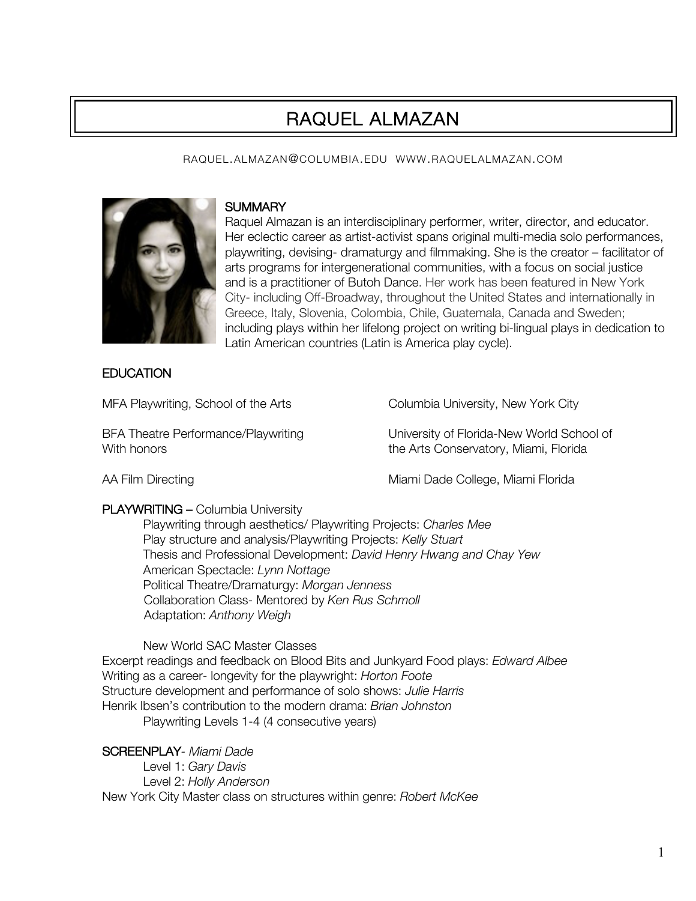# RAQUEL ALMAZAN

### RAQUEL.ALMAZAN@COLUMBIA.EDU WWW.RAQUELALMAZAN.COM



### **SUMMARY**

Raquel Almazan is an interdisciplinary performer, writer, director, and educator. Her eclectic career as artist-activist spans original multi-media solo performances, playwriting, devising- dramaturgy and filmmaking. She is the creator – facilitator of arts programs for intergenerational communities, with a focus on social justice and is a practitioner of Butoh Dance. Her work has been featured in New York City- including Off-Broadway, throughout the United States and internationally in Greece, Italy, Slovenia, Colombia, Chile, Guatemala, Canada and Sweden; including plays within her lifelong project on writing bi-lingual plays in dedication to Latin American countries (Latin is America play cycle).

# **EDUCATION**

MFA Playwriting, School of the Arts Columbia University, New York City

BFA Theatre Performance/Playwriting University of Florida-New World School of With honors **the Arts Conservatory, Miami, Florida** 

AA Film Directing Miami Dade College, Miami Florida

# PLAYWRITING – Columbia University

Playwriting through aesthetics/ Playwriting Projects: *Charles Mee* Play structure and analysis/Playwriting Projects: *Kelly Stuart* Thesis and Professional Development: *David Henry Hwang and Chay Yew* American Spectacle: *Lynn Nottage* Political Theatre/Dramaturgy: *Morgan Jenness* Collaboration Class- Mentored by *Ken Rus Schmoll* Adaptation: *Anthony Weigh*

New World SAC Master Classes

Excerpt readings and feedback on Blood Bits and Junkyard Food plays: *Edward Albee* Writing as a career- longevity for the playwright: *Horton Foote* Structure development and performance of solo shows: *Julie Harris* Henrik Ibsen's contribution to the modern drama: *Brian Johnston* Playwriting Levels 1-4 (4 consecutive years)

SCREENPLAY*- Miami Dade*

Level 1: *Gary Davis* Level 2: *Holly Anderson* New York City Master class on structures within genre: *Robert McKee*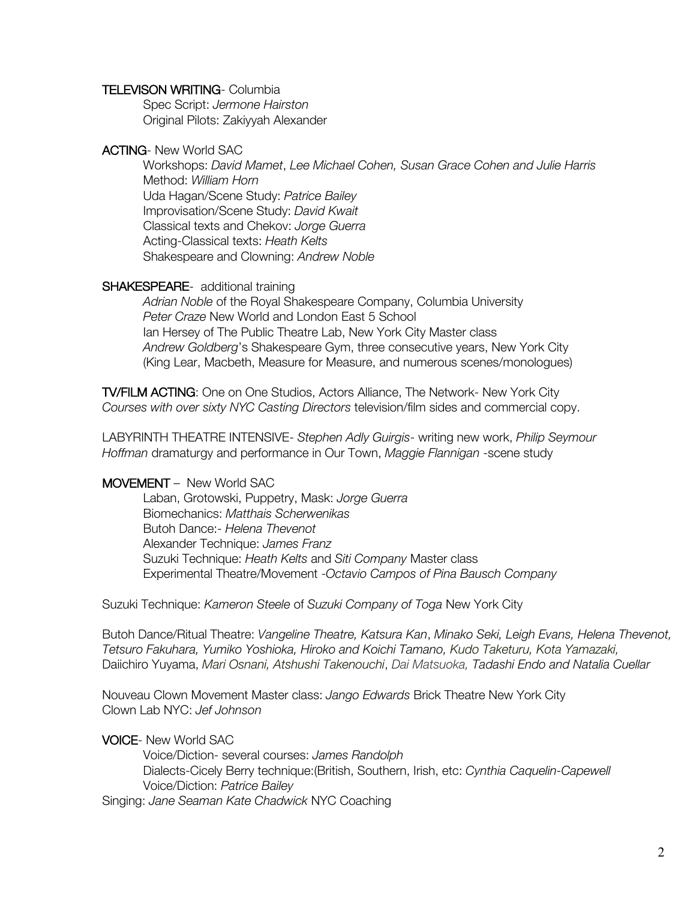#### TELEVISON WRITING- Columbia

Spec Script: *Jermone Hairston*  Original Pilots: Zakiyyah Alexander

### ACTING- New World SAC

Workshops: *David Mamet*, *Lee Michael Cohen, Susan Grace Cohen and Julie Harris* Method: *William Horn* Uda Hagan/Scene Study: *Patrice Bailey* Improvisation/Scene Study: *David Kwait* Classical texts and Chekov: *Jorge Guerra* Acting-Classical texts: *Heath Kelts* Shakespeare and Clowning: *Andrew Noble*

### SHAKESPEARE- additional training

*Adrian Noble* of the Royal Shakespeare Company, Columbia University *Peter Craze* New World and London East 5 School Ian Hersey of The Public Theatre Lab, New York City Master class *Andrew Goldberg*'s Shakespeare Gym, three consecutive years, New York City (King Lear, Macbeth, Measure for Measure, and numerous scenes/monologues)

TV/FILM ACTING: One on One Studios, Actors Alliance, The Network- New York City *Courses with over sixty NYC Casting Directors* television/film sides and commercial copy.

LABYRINTH THEATRE INTENSIVE- *Stephen Adly Guirgis*- writing new work, *Philip Seymour Hoffman* dramaturgy and performance in Our Town, *Maggie Flannigan* -scene study

### MOVEMENT – New World SAC

Laban, Grotowski, Puppetry, Mask: *Jorge Guerra* Biomechanics: *Matthais Scherwenikas* Butoh Dance:- *Helena Thevenot* Alexander Technique: *James Franz* Suzuki Technique: *Heath Kelts* and *Siti Company* Master class Experimental Theatre/Movement -*Octavio Campos of Pina Bausch Company*

Suzuki Technique: *Kameron Steele* of *Suzuki Company of Toga* New York City

Butoh Dance/Ritual Theatre: *Vangeline Theatre, Katsura Kan*, *Minako Seki, Leigh Evans, Helena Thevenot, Tetsuro Fakuhara, Yumiko Yoshioka, Hiroko and Koichi Tamano, Kudo Taketuru, Kota Yamazaki,*  Daiichiro Yuyama, *Mari Osnani, Atshushi Takenouchi*, *Dai Matsuoka, Tadashi Endo and Natalia Cuellar*

Nouveau Clown Movement Master class: *Jango Edwards* Brick Theatre New York City Clown Lab NYC: *Jef Johnson* 

### VOICE- New World SAC

Voice/Diction- several courses: *James Randolph*  Dialects-Cicely Berry technique:(British, Southern, Irish, etc: *Cynthia Caquelin-Capewell* Voice/Diction: *Patrice Bailey*

Singing: *Jane Seaman Kate Chadwick* NYC Coaching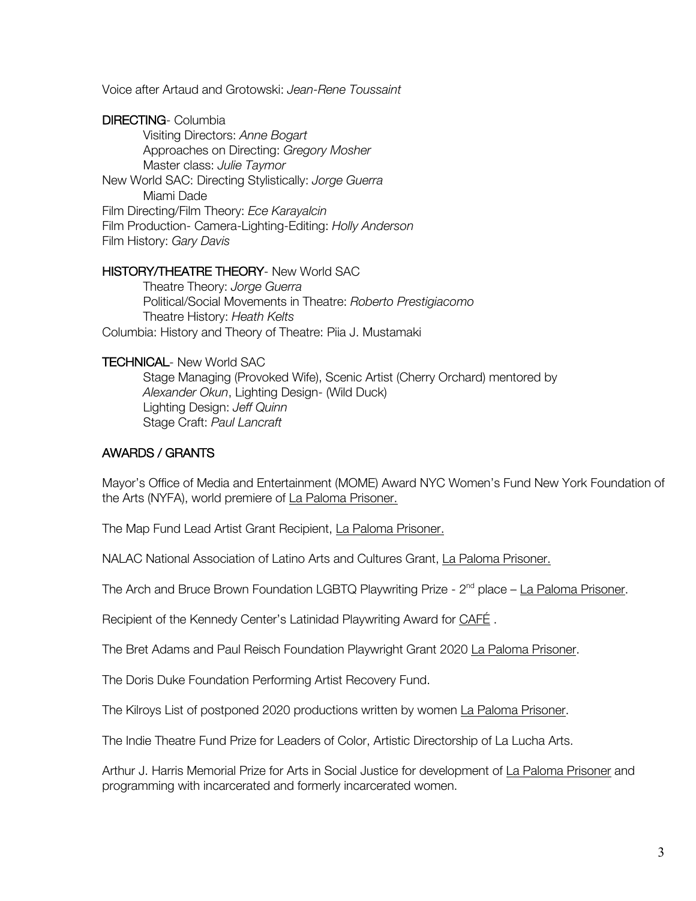Voice after Artaud and Grotowski: *Jean-Rene Toussaint*

DIRECTING- Columbia Visiting Directors: *Anne Bogart* Approaches on Directing: *Gregory Mosher* Master class: *Julie Taymor* New World SAC: Directing Stylistically: *Jorge Guerra* Miami Dade Film Directing/Film Theory: *Ece Karayalcin* Film Production- Camera-Lighting-Editing: *Holly Anderson* Film History: *Gary Davis*

### HISTORY/THEATRE THEORY- New World SAC

Theatre Theory: *Jorge Guerra* Political/Social Movements in Theatre: *Roberto Prestigiacomo* Theatre History: *Heath Kelts* Columbia: History and Theory of Theatre: Piia J. Mustamaki

### TECHNICAL- New World SAC

Stage Managing (Provoked Wife), Scenic Artist (Cherry Orchard) mentored by *Alexander Okun*, Lighting Design- (Wild Duck) Lighting Design: *Jeff Quinn* Stage Craft: *Paul Lancraft*

### AWARDS / GRANTS

Mayor's Office of Media and Entertainment (MOME) Award NYC Women's Fund New York Foundation of the Arts (NYFA), world premiere of La Paloma Prisoner.

The Map Fund Lead Artist Grant Recipient, La Paloma Prisoner.

NALAC National Association of Latino Arts and Cultures Grant, La Paloma Prisoner.

The Arch and Bruce Brown Foundation LGBTQ Playwriting Prize - 2<sup>nd</sup> place – La Paloma Prisoner.

Recipient of the Kennedy Center's Latinidad Playwriting Award for CAFE.

The Bret Adams and Paul Reisch Foundation Playwright Grant 2020 La Paloma Prisoner.

The Doris Duke Foundation Performing Artist Recovery Fund.

The Kilroys List of postponed 2020 productions written by women La Paloma Prisoner.

The Indie Theatre Fund Prize for Leaders of Color, Artistic Directorship of La Lucha Arts.

Arthur J. Harris Memorial Prize for Arts in Social Justice for development of La Paloma Prisoner and programming with incarcerated and formerly incarcerated women.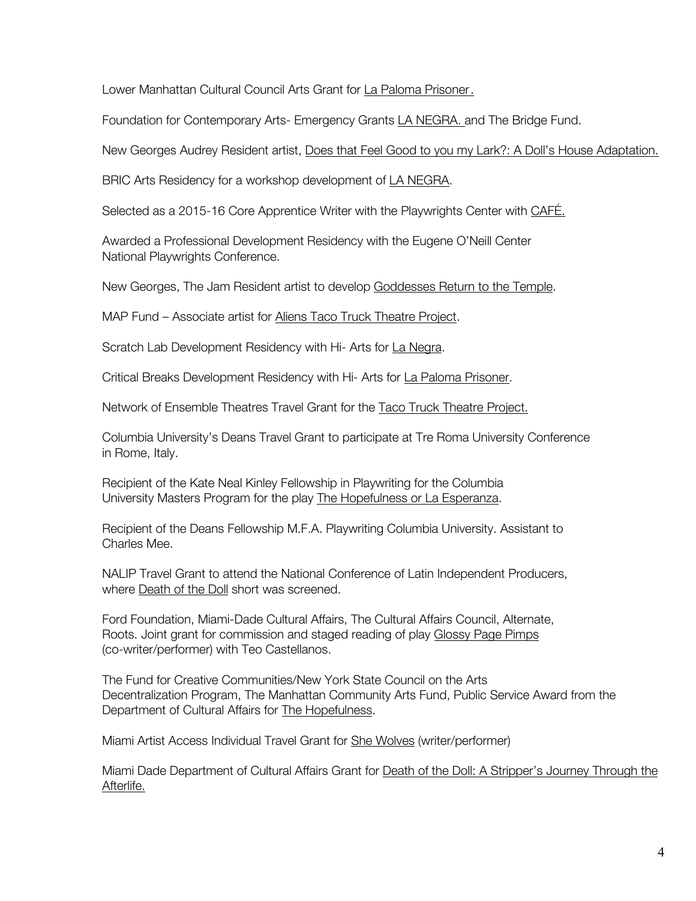Lower Manhattan Cultural Council Arts Grant for La Paloma Prisoner.

Foundation for Contemporary Arts- Emergency Grants LA NEGRA. and The Bridge Fund.

New Georges Audrey Resident artist, Does that Feel Good to you my Lark?: A Doll's House Adaptation.

BRIC Arts Residency for a workshop development of LA NEGRA.

Selected as a 2015-16 Core Apprentice Writer with the Playwrights Center with CAFÉ.

Awarded a Professional Development Residency with the Eugene O'Neill Center National Playwrights Conference.

New Georges, The Jam Resident artist to develop Goddesses Return to the Temple.

MAP Fund – Associate artist for Aliens Taco Truck Theatre Project.

Scratch Lab Development Residency with Hi- Arts for La Negra.

Critical Breaks Development Residency with Hi- Arts for La Paloma Prisoner.

Network of Ensemble Theatres Travel Grant for the Taco Truck Theatre Project.

Columbia University's Deans Travel Grant to participate at Tre Roma University Conference in Rome, Italy.

Recipient of the Kate Neal Kinley Fellowship in Playwriting for the Columbia University Masters Program for the play The Hopefulness or La Esperanza.

Recipient of the Deans Fellowship M.F.A. Playwriting Columbia University. Assistant to Charles Mee.

NALIP Travel Grant to attend the National Conference of Latin Independent Producers, where Death of the Doll short was screened.

Ford Foundation, Miami-Dade Cultural Affairs, The Cultural Affairs Council, Alternate, Roots. Joint grant for commission and staged reading of play Glossy Page Pimps (co-writer/performer) with Teo Castellanos.

The Fund for Creative Communities/New York State Council on the Arts Decentralization Program, The Manhattan Community Arts Fund, Public Service Award from the Department of Cultural Affairs for The Hopefulness.

Miami Artist Access Individual Travel Grant for She Wolves (writer/performer)

Miami Dade Department of Cultural Affairs Grant for Death of the Doll: A Stripper's Journey Through the Afterlife.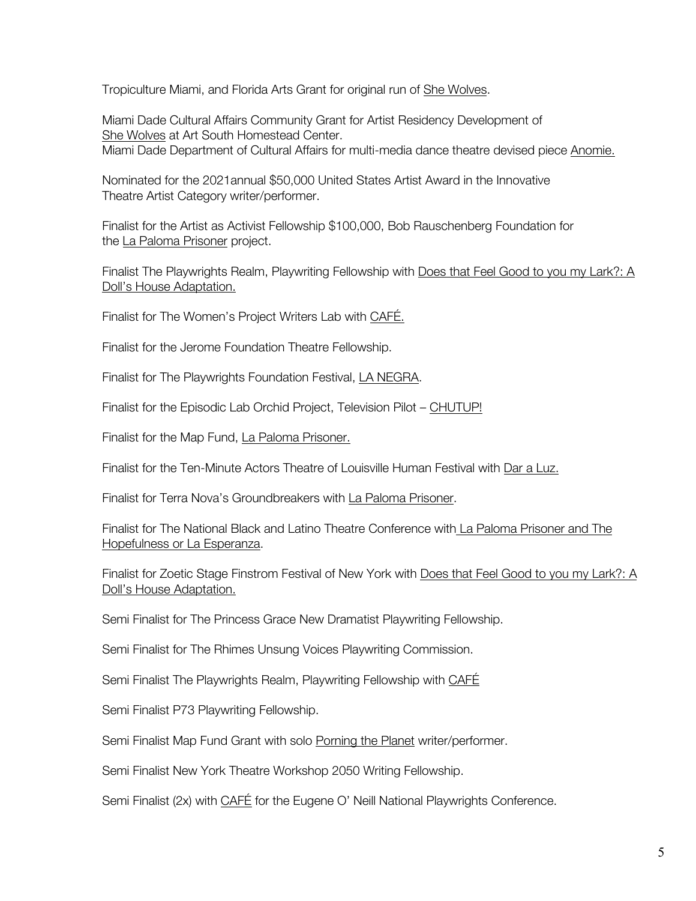Tropiculture Miami, and Florida Arts Grant for original run of She Wolves.

Miami Dade Cultural Affairs Community Grant for Artist Residency Development of She Wolves at Art South Homestead Center. Miami Dade Department of Cultural Affairs for multi-media dance theatre devised piece Anomie.

Nominated for the 2021annual \$50,000 United States Artist Award in the Innovative Theatre Artist Category writer/performer.

Finalist for the Artist as Activist Fellowship \$100,000, Bob Rauschenberg Foundation for the La Paloma Prisoner project.

Finalist The Playwrights Realm, Playwriting Fellowship with Does that Feel Good to you my Lark?: A Doll's House Adaptation.

Finalist for The Women's Project Writers Lab with CAFÉ.

Finalist for the Jerome Foundation Theatre Fellowship.

Finalist for The Playwrights Foundation Festival, LA NEGRA.

Finalist for the Episodic Lab Orchid Project, Television Pilot – CHUTUP!

Finalist for the Map Fund, La Paloma Prisoner.

Finalist for the Ten-Minute Actors Theatre of Louisville Human Festival with Dar a Luz.

Finalist for Terra Nova's Groundbreakers with La Paloma Prisoner.

Finalist for The National Black and Latino Theatre Conference with La Paloma Prisoner and The Hopefulness or La Esperanza.

Finalist for Zoetic Stage Finstrom Festival of New York with Does that Feel Good to you my Lark?: A Doll's House Adaptation.

Semi Finalist for The Princess Grace New Dramatist Playwriting Fellowship.

Semi Finalist for The Rhimes Unsung Voices Playwriting Commission.

Semi Finalist The Playwrights Realm, Playwriting Fellowship with CAFÉ

Semi Finalist P73 Playwriting Fellowship.

Semi Finalist Map Fund Grant with solo Porning the Planet writer/performer.

Semi Finalist New York Theatre Workshop 2050 Writing Fellowship.

Semi Finalist (2x) with CAFE for the Eugene O' Neill National Playwrights Conference.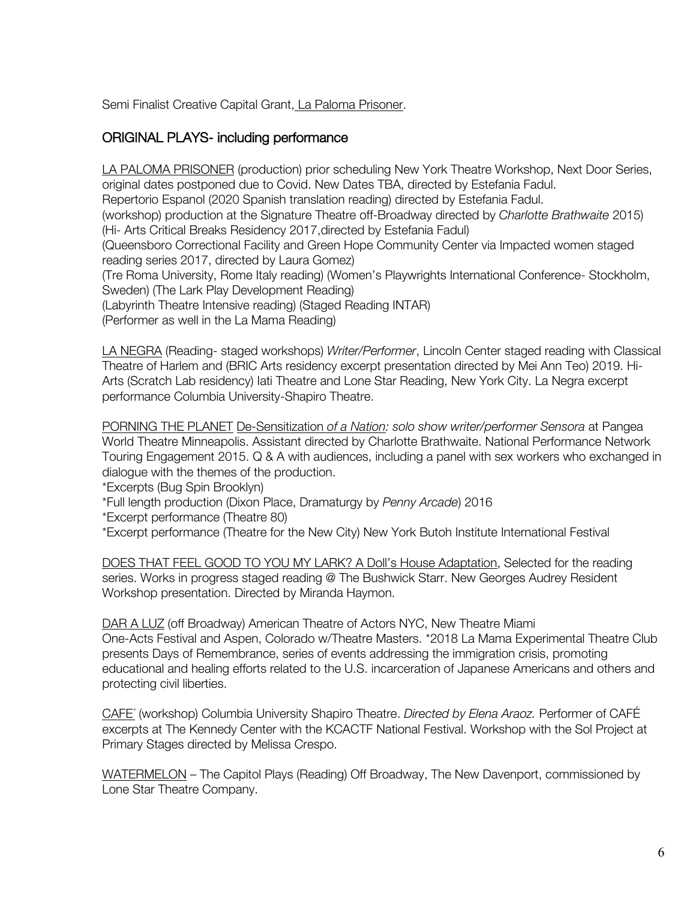Semi Finalist Creative Capital Grant, La Paloma Prisoner.

# ORIGINAL PLAYS- including performance

LA PALOMA PRISONER (production) prior scheduling New York Theatre Workshop, Next Door Series, original dates postponed due to Covid. New Dates TBA, directed by Estefania Fadul. Repertorio Espanol (2020 Spanish translation reading) directed by Estefania Fadul. (workshop) production at the Signature Theatre off-Broadway directed by *Charlotte Brathwaite* 2015) (Hi- Arts Critical Breaks Residency 2017,directed by Estefania Fadul) (Queensboro Correctional Facility and Green Hope Community Center via Impacted women staged reading series 2017, directed by Laura Gomez) (Tre Roma University, Rome Italy reading) (Women's Playwrights International Conference- Stockholm, Sweden) (The Lark Play Development Reading) (Labyrinth Theatre Intensive reading) (Staged Reading INTAR) (Performer as well in the La Mama Reading)

LA NEGRA (Reading- staged workshops) *Writer/Performer*, Lincoln Center staged reading with Classical Theatre of Harlem and (BRIC Arts residency excerpt presentation directed by Mei Ann Teo) 2019. Hi-Arts (Scratch Lab residency) Iati Theatre and Lone Star Reading, New York City. La Negra excerpt performance Columbia University-Shapiro Theatre.

PORNING THE PLANET De-Sensitization *of a Nation: solo show writer/performer Sensora* at Pangea World Theatre Minneapolis. Assistant directed by Charlotte Brathwaite. National Performance Network Touring Engagement 2015. Q & A with audiences, including a panel with sex workers who exchanged in dialogue with the themes of the production.

\*Excerpts (Bug Spin Brooklyn)

\*Full length production (Dixon Place, Dramaturgy by *Penny Arcade*) 2016

\*Excerpt performance (Theatre 80)

\*Excerpt performance (Theatre for the New City) New York Butoh Institute International Festival

DOES THAT FEEL GOOD TO YOU MY LARK? A Doll's House Adaptation, Selected for the reading series. Works in progress staged reading @ The Bushwick Starr. New Georges Audrey Resident Workshop presentation. Directed by Miranda Haymon.

DAR A LUZ (off Broadway) American Theatre of Actors NYC, New Theatre Miami One-Acts Festival and Aspen, Colorado w/Theatre Masters. \*2018 La Mama Experimental Theatre Club presents Days of Remembrance, series of events addressing the immigration crisis, promoting educational and healing efforts related to the U.S. incarceration of Japanese Americans and others and protecting civil liberties.

CAFE´ (workshop) Columbia University Shapiro Theatre. *Directed by Elena Araoz.* Performer of CAFÉ excerpts at The Kennedy Center with the KCACTF National Festival. Workshop with the Sol Project at Primary Stages directed by Melissa Crespo.

WATERMELON – The Capitol Plays (Reading) Off Broadway, The New Davenport, commissioned by Lone Star Theatre Company.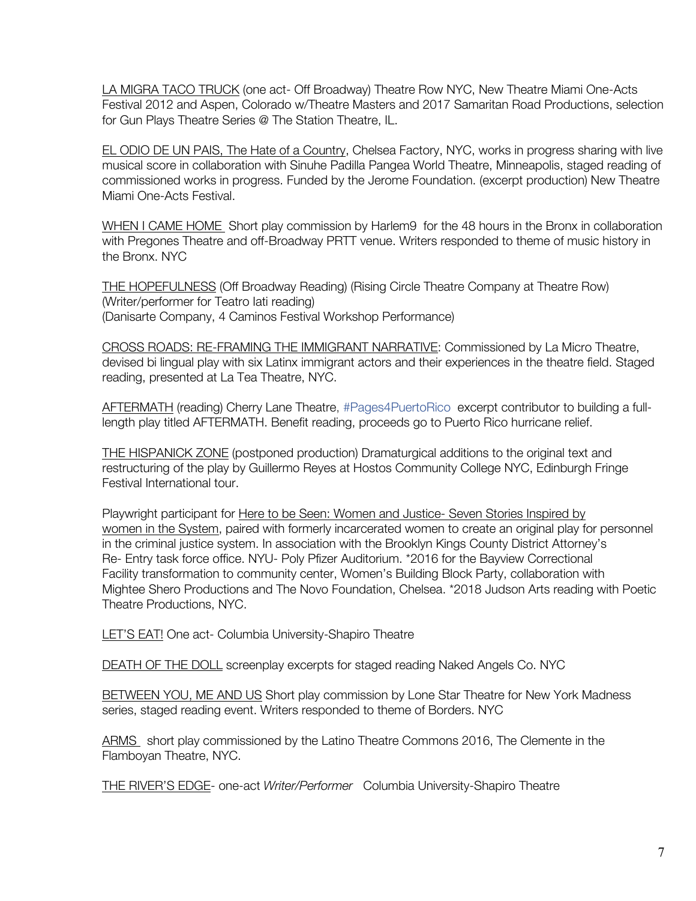LA MIGRA TACO TRUCK (one act- Off Broadway) Theatre Row NYC, New Theatre Miami One-Acts Festival 2012 and Aspen, Colorado w/Theatre Masters and 2017 Samaritan Road Productions, selection for Gun Plays Theatre Series @ The Station Theatre, IL.

EL ODIO DE UN PAIS, The Hate of a Country, Chelsea Factory, NYC, works in progress sharing with live musical score in collaboration with Sinuhe Padilla Pangea World Theatre, Minneapolis, staged reading of commissioned works in progress. Funded by the Jerome Foundation. (excerpt production) New Theatre Miami One-Acts Festival.

WHEN I CAME HOME Short play commission by Harlem9 for the 48 hours in the Bronx in collaboration with Pregones Theatre and off-Broadway PRTT venue. Writers responded to theme of music history in the Bronx. NYC

THE HOPEFULNESS (Off Broadway Reading) (Rising Circle Theatre Company at Theatre Row) (Writer/performer for Teatro Iati reading) (Danisarte Company, 4 Caminos Festival Workshop Performance)

CROSS ROADS: RE-FRAMING THE IMMIGRANT NARRATIVE: Commissioned by La Micro Theatre, devised bi lingual play with six Latinx immigrant actors and their experiences in the theatre field. Staged reading, presented at La Tea Theatre, NYC.

AFTERMATH (reading) Cherry Lane Theatre, #Pages4PuertoRico excerpt contributor to building a fulllength play titled AFTERMATH. Benefit reading, proceeds go to Puerto Rico hurricane relief.

THE HISPANICK ZONE (postponed production) Dramaturgical additions to the original text and restructuring of the play by Guillermo Reyes at Hostos Community College NYC, Edinburgh Fringe Festival International tour.

Playwright participant for Here to be Seen: Women and Justice- Seven Stories Inspired by women in the System, paired with formerly incarcerated women to create an original play for personnel in the criminal justice system. In association with the Brooklyn Kings County District Attorney's Re- Entry task force office. NYU- Poly Pfizer Auditorium. \*2016 for the Bayview Correctional Facility transformation to community center, Women's Building Block Party, collaboration with Mightee Shero Productions and The Novo Foundation, Chelsea. \*2018 Judson Arts reading with Poetic Theatre Productions, NYC.

LET'S EAT! One act- Columbia University-Shapiro Theatre

DEATH OF THE DOLL screenplay excerpts for staged reading Naked Angels Co. NYC

BETWEEN YOU, ME AND US Short play commission by Lone Star Theatre for New York Madness series, staged reading event. Writers responded to theme of Borders. NYC

ARMS short play commissioned by the Latino Theatre Commons 2016, The Clemente in the Flamboyan Theatre, NYC.

THE RIVER'S EDGE- one-act *Writer/Performer* Columbia University-Shapiro Theatre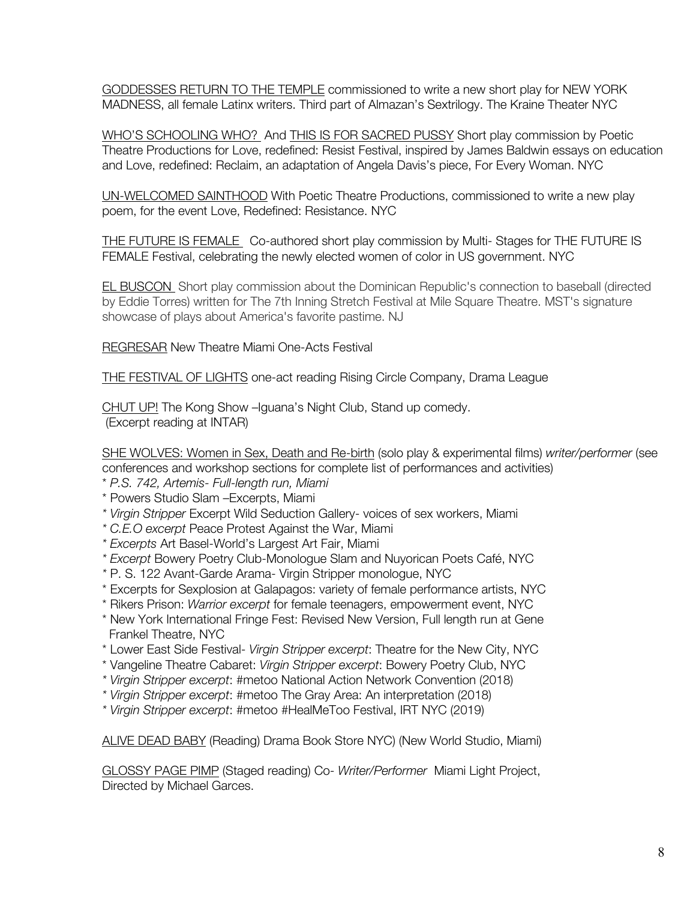GODDESSES RETURN TO THE TEMPLE commissioned to write a new short play for NEW YORK MADNESS, all female Latinx writers. Third part of Almazan's Sextrilogy. The Kraine Theater NYC

WHO'S SCHOOLING WHO? And THIS IS FOR SACRED PUSSY Short play commission by Poetic Theatre Productions for Love, redefined: Resist Festival, inspired by James Baldwin essays on education and Love, redefined: Reclaim, an adaptation of Angela Davis's piece, For Every Woman. NYC

UN-WELCOMED SAINTHOOD With Poetic Theatre Productions, commissioned to write a new play poem, for the event Love, Redefined: Resistance. NYC

THE FUTURE IS FEMALE Co-authored short play commission by Multi- Stages for THE FUTURE IS FEMALE Festival, celebrating the newly elected women of color in US government. NYC

**EL BUSCON** Short play commission about the Dominican Republic's connection to baseball (directed by Eddie Torres) written for The 7th Inning Stretch Festival at Mile Square Theatre. MST's signature showcase of plays about America's favorite pastime. NJ

REGRESAR New Theatre Miami One-Acts Festival

THE FESTIVAL OF LIGHTS one-act reading Rising Circle Company, Drama League

CHUT UP! The Kong Show –Iguana's Night Club, Stand up comedy. (Excerpt reading at INTAR)

SHE WOLVES: Women in Sex, Death and Re-birth (solo play & experimental films) *writer/performer* (see conferences and workshop sections for complete list of performances and activities)

- \* *P.S. 742, Artemis- Full-length run, Miami*
- \* Powers Studio Slam –Excerpts, Miami
- *\* Virgin Stripper* Excerpt Wild Seduction Gallery- voices of sex workers, Miami
- *\* C.E.O excerpt* Peace Protest Against the War, Miami
- *\* Excerpts* Art Basel-World's Largest Art Fair, Miami
- *\* Excerpt* Bowery Poetry Club-Monologue Slam and Nuyorican Poets Café, NYC
- *\** P. S. 122 Avant-Garde Arama- Virgin Stripper monologue, NYC
- \* Excerpts for Sexplosion at Galapagos: variety of female performance artists, NYC
- \* Rikers Prison: *Warrior excerpt* for female teenagers, empowerment event, NYC
- \* New York International Fringe Fest: Revised New Version, Full length run at Gene Frankel Theatre, NYC
- \* Lower East Side Festival- *Virgin Stripper excerpt*: Theatre for the New City, NYC
- \* Vangeline Theatre Cabaret: *Virgin Stripper excerpt*: Bowery Poetry Club, NYC
- *\* Virgin Stripper excerpt*: #metoo National Action Network Convention (2018)
- *\* Virgin Stripper excerpt*: #metoo The Gray Area: An interpretation (2018)
- *\* Virgin Stripper excerpt*: #metoo #HealMeToo Festival, IRT NYC (2019)

ALIVE DEAD BABY (Reading) Drama Book Store NYC) (New World Studio, Miami)

GLOSSY PAGE PIMP (Staged reading) Co- *Writer/Performer* Miami Light Project, Directed by Michael Garces.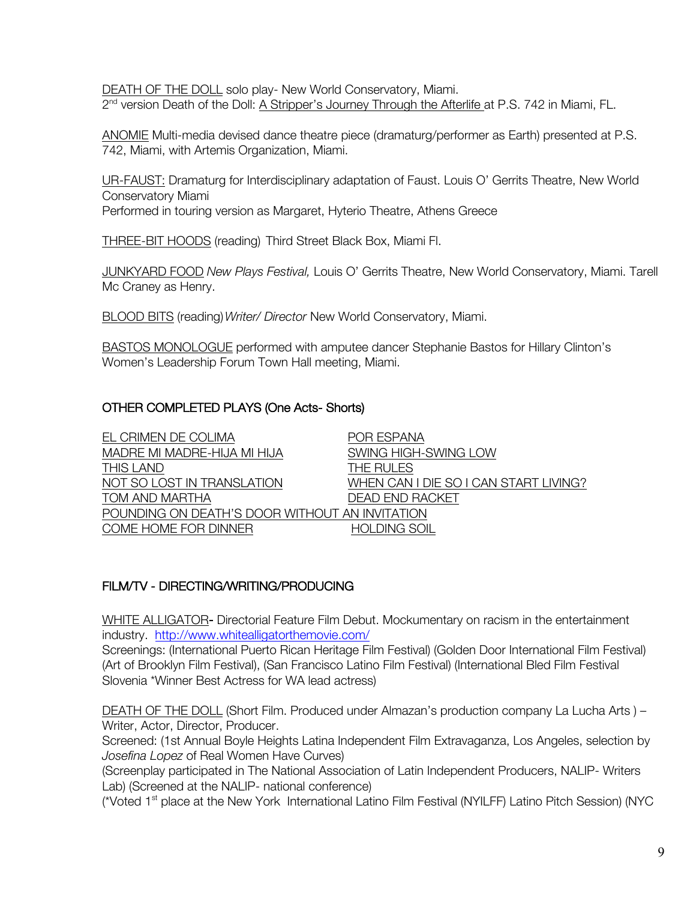DEATH OF THE DOLL solo play- New World Conservatory, Miami. 2<sup>nd</sup> version Death of the Doll: A Stripper's Journey Through the Afterlife at P.S. 742 in Miami, FL.

ANOMIE Multi-media devised dance theatre piece (dramaturg/performer as Earth) presented at P.S. 742, Miami, with Artemis Organization, Miami.

UR-FAUST: Dramaturg for Interdisciplinary adaptation of Faust. Louis O' Gerrits Theatre, New World Conservatory Miami Performed in touring version as Margaret, Hyterio Theatre, Athens Greece

THREE-BIT HOODS (reading) Third Street Black Box, Miami Fl.

JUNKYARD FOOD *New Plays Festival,* Louis O' Gerrits Theatre, New World Conservatory, Miami. Tarell Mc Craney as Henry.

BLOOD BITS (reading)*Writer/ Director* New World Conservatory, Miami.

BASTOS MONOLOGUE performed with amputee dancer Stephanie Bastos for Hillary Clinton's Women's Leadership Forum Town Hall meeting, Miami.

# OTHER COMPLETED PLAYS (One Acts- Shorts)

| EL CRIMEN DE COLIMA                            | <b>POR ESPANA</b>                     |
|------------------------------------------------|---------------------------------------|
| MADRE MI MADRE-HIJA MI HIJA                    | SWING HIGH-SWING LOW                  |
| <b>THIS LAND</b>                               | THE RULES                             |
| NOT SO LOST IN TRANSLATION                     | WHEN CAN I DIE SO I CAN START LIVING? |
| TOM AND MARTHA                                 | <b>DEAD END RACKET</b>                |
| POUNDING ON DEATH'S DOOR WITHOUT AN INVITATION |                                       |
| COME HOME FOR DINNER                           | <b>HOLDING SOIL</b>                   |

# FILM/TV - DIRECTING/WRITING/PRODUCING

WHITE ALLIGATOR- Directorial Feature Film Debut. Mockumentary on racism in the entertainment industry. http://www.whitealligatorthemovie.com/

Screenings: (International Puerto Rican Heritage Film Festival) (Golden Door International Film Festival) (Art of Brooklyn Film Festival), (San Francisco Latino Film Festival) (International Bled Film Festival Slovenia \*Winner Best Actress for WA lead actress)

DEATH OF THE DOLL (Short Film. Produced under Almazan's production company La Lucha Arts ) – Writer, Actor, Director, Producer.

Screened: (1st Annual Boyle Heights Latina Independent Film Extravaganza, Los Angeles, selection by *Josefina Lopez* of Real Women Have Curves)

(Screenplay participated in The National Association of Latin Independent Producers, NALIP- Writers Lab) (Screened at the NALIP- national conference)

(\*Voted 1<sup>st</sup> place at the New York International Latino Film Festival (NYILFF) Latino Pitch Session) (NYC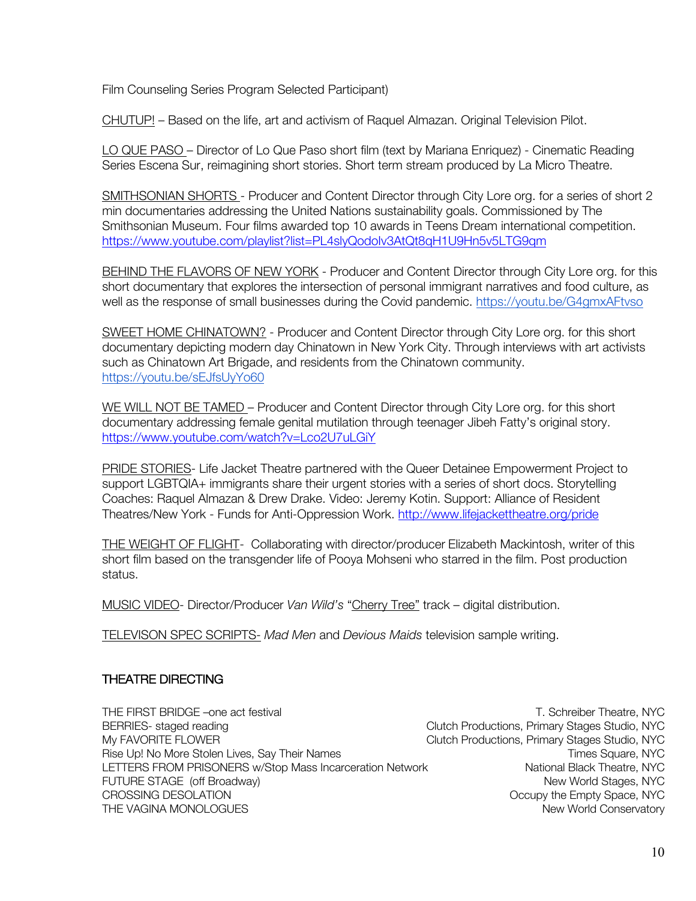Film Counseling Series Program Selected Participant)

CHUTUP! – Based on the life, art and activism of Raquel Almazan. Original Television Pilot.

LO QUE PASO – Director of Lo Que Paso short film (text by Mariana Enriquez) - Cinematic Reading Series Escena Sur, reimagining short stories. Short term stream produced by La Micro Theatre.

SMITHSONIAN SHORTS - Producer and Content Director through City Lore org. for a series of short 2 min documentaries addressing the United Nations sustainability goals. Commissioned by The Smithsonian Museum. Four films awarded top 10 awards in Teens Dream international competition. https://www.youtube.com/playlist?list=PL4slyQodoIv3AtQt8qH1U9Hn5v5LTG9qm

BEHIND THE FLAVORS OF NEW YORK - Producer and Content Director through City Lore org. for this short documentary that explores the intersection of personal immigrant narratives and food culture, as well as the response of small businesses during the Covid pandemic. https://youtu.be/G4gmxAFtvso

SWEET HOME CHINATOWN? - Producer and Content Director through City Lore org. for this short documentary depicting modern day Chinatown in New York City. Through interviews with art activists such as Chinatown Art Brigade, and residents from the Chinatown community. https://youtu.be/sEJfsUyYo60

WE WILL NOT BE TAMED – Producer and Content Director through City Lore org. for this short documentary addressing female genital mutilation through teenager Jibeh Fatty's original story. https://www.youtube.com/watch?v=Lco2U7uLGiY

PRIDE STORIES- Life Jacket Theatre partnered with the Queer Detainee Empowerment Project to support LGBTQIA+ immigrants share their urgent stories with a series of short docs. Storytelling Coaches: Raquel Almazan & Drew Drake. Video: Jeremy Kotin. Support: Alliance of Resident Theatres/New York - Funds for Anti-Oppression Work. http://www.lifejackettheatre.org/pride

THE WEIGHT OF FLIGHT- Collaborating with director/producer Elizabeth Mackintosh, writer of this short film based on the transgender life of Pooya Mohseni who starred in the film. Post production status.

MUSIC VIDEO- Director/Producer *Van Wild's* "Cherry Tree" track – digital distribution.

TELEVISON SPEC SCRIPTS- *Mad Men* and *Devious Maids* television sample writing.

# THEATRE DIRECTING

THE FIRST BRIDGE –one act festival TEST CONTEXT THE SCHREIBER THEATRE, NYC BERRIES- staged reading Clutch Productions, Primary Stages Studio, NYC My FAVORITE FLOWER CLUTCH COME Clutch Productions, Primary Stages Studio, NYC Rise Up! No More Stolen Lives, Say Their Names The Store Times Square, NYC LETTERS FROM PRISONERS w/Stop Mass Incarceration Network National Black Theatre, NYC FUTURE STAGE (off Broadway) New Yorld Stages, NYC CROSSING DESOLATION CROSSING DESOLATION THE VAGINA MONOLOGUES **New Yorld Conservatory** New World Conservatory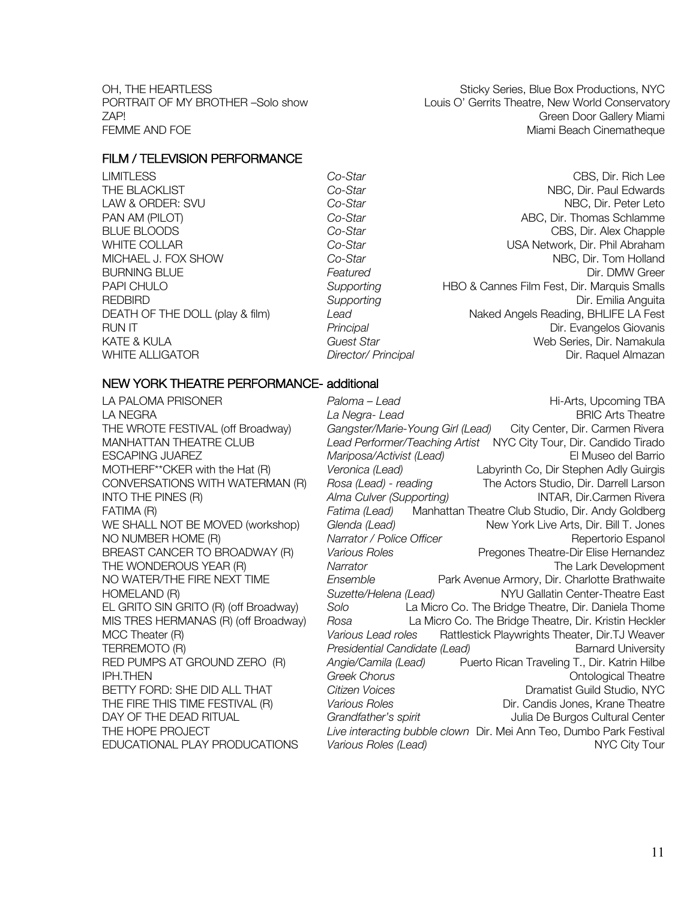OH, THE HEARTLESS STIGKY Sticky Series, Blue Box Productions, NYC PORTRAIT OF MY BROTHER -Solo show Louis O' Gerrits Theatre, New World Conservatory ZAP! Green Door Gallery Miami FEMME AND FOE **Miami Beach Cinematheque** Miami Beach Cinematheque

### FILM / TELEVISION PERFORMANCE

LIMITLESS *Co-Star* CBS, Dir. Rich Lee THE BLACKLIST **Co-Star Co-Star Co-Star Co-Star NBC, Dir. Paul Edwards** LAW & ORDER: SVU *Co-Star* NBC, Dir. Peter Leto PAN AM (PILOT) **Co-Star Co-Star Co-Star** ABC, Dir. Thomas Schlamme BLUE BLOODS **Co-Star** Co-Star Co-Star Co-Star CBS, Dir. Alex Chapple WHITE COLLAR *Co-Star* USA Network, Dir. Phil Abraham MICHAEL J. FOX SHOW **Co-Star Co-Star Co-Star NBC, Dir. Tom Holland** BURNING BLUE *Featured* Featured **Dir. DMW Greer** PAPI CHULO *Supporting* HBO & Cannes Film Fest, Dir. Marquis Smalls REDBIRD *Supporting* Dir. Emilia Anguita DEATH OF THE DOLL (play & film) *Lead* Naked Angels Reading, BHLIFE LA Fest RUN IT *Principal* Dir. Evangelos Giovanis KATE & KULA *Guest Star* Web Series, Dir. Namakula WHITE ALLIGATOR *Director/ Principal* Dir. Raquel Almazan

### NEW YORK THEATRE PERFORMANCE- additional

LA PALOMA PRISONER *Paloma – Lead* Hi-Arts, Upcoming TBA LA NEGRA *La Negra- Lead* BRIC Arts Theatre THE WROTE FESTIVAL (off Broadway) *Gangster/Marie-Young Girl (Lead)* City Center, Dir. Carmen Rivera MANHATTAN THEATRE CLUB *Lead Performer/Teaching Artist* NYC City Tour, Dir. Candido Tirado *Mariposa/Activist (Lead)* El Museo del Barrio MOTHERF\*\*CKER with the Hat (R) *Veronica (Lead)* Labyrinth Co, Dir Stephen Adly Guirgis CONVERSATIONS WITH WATERMAN (R) *Rosa (Lead) - reading* The Actors Studio, Dir. Darrell Larson INTO THE PINES (R) *Alma Culver (Supporting)* INTAR, Dir.Carmen Rivera FATIMA (R) *Fatima (Lead)* Manhattan Theatre Club Studio, Dir. Andy Goldberg WE SHALL NOT BE MOVED (workshop) *Glenda (Lead)* New York Live Arts, Dir. Bill T. Jones NO NUMBER HOME (R) **Narrator** / Police Officer **Repertorio Espanol** Repertorio Espanol BREAST CANCER TO BROADWAY (R) *Various Roles* Pregones Theatre-Dir Elise Hernandez THE WONDEROUS YEAR (R) *Narrator* The Lark Development NO WATER/THE FIRE NEXT TIME *Ensemble* Park Avenue Armory, Dir. Charlotte Brathwaite HOMELAND (R) *Suzette/Helena (Lead)* NYU Gallatin Center-Theatre East EL GRITO SIN GRITO (R) (off Broadway) *Solo* La Micro Co. The Bridge Theatre, Dir. Daniela Thome MIS TRES HERMANAS (R) (off Broadway) *Rosa* La Micro Co. The Bridge Theatre, Dir. Kristin Heckler MCC Theater (R) *Various Lead roles* Rattlestick Playwrights Theater, Dir.TJ Weaver TERREMOTO (R) *Presidential Candidate (Lead)* Barnard University RED PUMPS AT GROUND ZERO (R) *Angie/Camila (Lead)* Puerto Rican Traveling T., Dir. Katrin Hilbe **IPH.THEN Greek Chorus Greek Chorus Ontological Theatre** BETTY FORD: SHE DID ALL THAT **Citizen Voices** Discussed and the Dramatist Guild Studio, NYC THE FIRE THIS TIME FESTIVAL (R) *Various Roles* Dir. Candis Jones, Krane Theatre DAY OF THE DEAD RITUAL *Grandfather's spirit* Julia De Burgos Cultural Center THE HOPE PROJECT *Live interacting bubble clown* Dir. Mei Ann Teo, Dumbo Park Festival EDUCATIONAL PLAY PRODUCATIONS *Various Roles (Lead)* NYC City Tour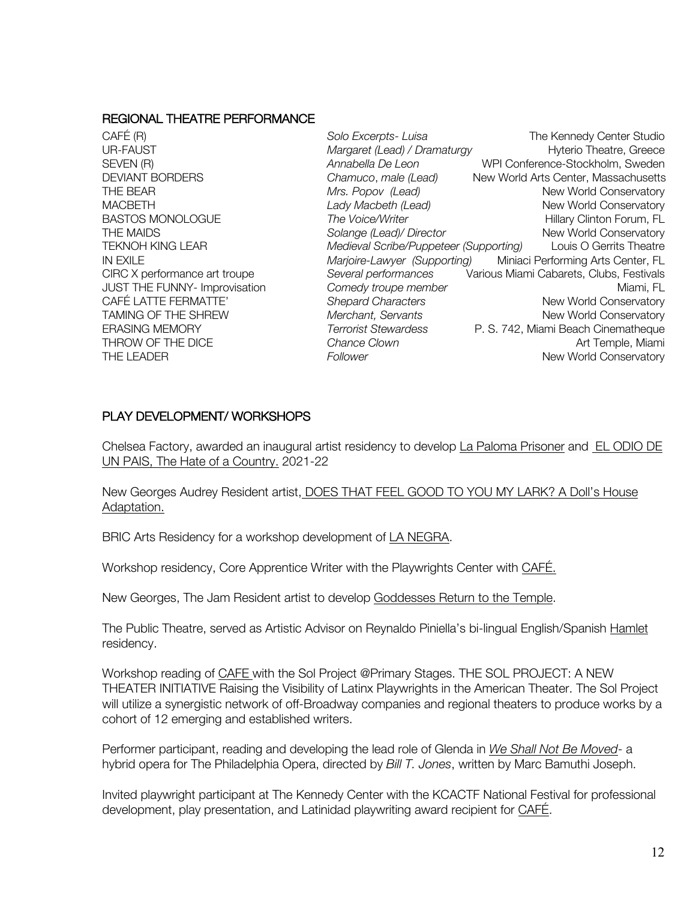#### REGIONAL THEATRE PERFORMANCE

CAFÉ (R) *Solo Excerpts- Luisa* The Kennedy Center Studio UR-FAUST *Margaret (Lead) / Dramaturgy* Hyterio Theatre, Greece SEVEN (R) *Annabella De Leon* WPI Conference-Stockholm, Sweden DEVIANT BORDERS *Chamuco*, *male (Lead)* New World Arts Center, Massachusetts THE BEAR *Mrs. Popov (Lead)* New World Conservatory MACBETH *Lady Macbeth (Lead)* New World Conservatory BASTOS MONOLOGUE *The Voice/Writer* **Hillary Clinton Forum, FL** THE MAIDS *Solange (Lead)/ Director* New World Conservatory TEKNOH KING LEAR *Medieval Scribe/Puppeteer (Supporting)* Louis O Gerrits Theatre IN EXILE *Marjoire-Lawyer (Supporting)* Miniaci Performing Arts Center, FL CIRC X performance art troupe *Several performances* Various Miami Cabarets, Clubs, Festivals JUST THE FUNNY- Improvisation *Comedy troupe member* Miami, FL CAFÉ LATTE FERMATTE' **Shepard Characters** New World Conservatory TAMING OF THE SHREW *Merchant, Servants* New World Conservatory<br>FRASING MEMORY **New York Conservatory** Terrorist Stewardess P. S. 742. Miami Beach Cinematheque ERASING MEMORY *Terrorist Stewardess* P. S. 742, Miami Beach Cinematheque THROW OF THE DICE *Chance Clown* **Chance Only 10 Chance Clown Art Temple, Miami** THE LEADER **Follower Follower Follower New World Conservatory** 

### PLAY DEVELOPMENT/ WORKSHOPS

Chelsea Factory, awarded an inaugural artist residency to develop La Paloma Prisoner and EL ODIO DE UN PAIS, The Hate of a Country. 2021-22

New Georges Audrey Resident artist, DOES THAT FEEL GOOD TO YOU MY LARK? A Doll's House Adaptation.

BRIC Arts Residency for a workshop development of LA NEGRA.

Workshop residency, Core Apprentice Writer with the Playwrights Center with CAFÉ.

New Georges, The Jam Resident artist to develop Goddesses Return to the Temple.

The Public Theatre, served as Artistic Advisor on Reynaldo Piniella's bi-lingual English/Spanish Hamlet residency.

Workshop reading of CAFE with the Sol Project @Primary Stages. THE SOL PROJECT: A NEW THEATER INITIATIVE Raising the Visibility of Latinx Playwrights in the American Theater. The Sol Project will utilize a synergistic network of off-Broadway companies and regional theaters to produce works by a cohort of 12 emerging and established writers.

Performer participant, reading and developing the lead role of Glenda in *We Shall Not Be Moved*- a hybrid opera for The Philadelphia Opera, directed by *Bill T. Jones*, written by Marc Bamuthi Joseph.

Invited playwright participant at The Kennedy Center with the KCACTF National Festival for professional development, play presentation, and Latinidad playwriting award recipient for CAFÉ.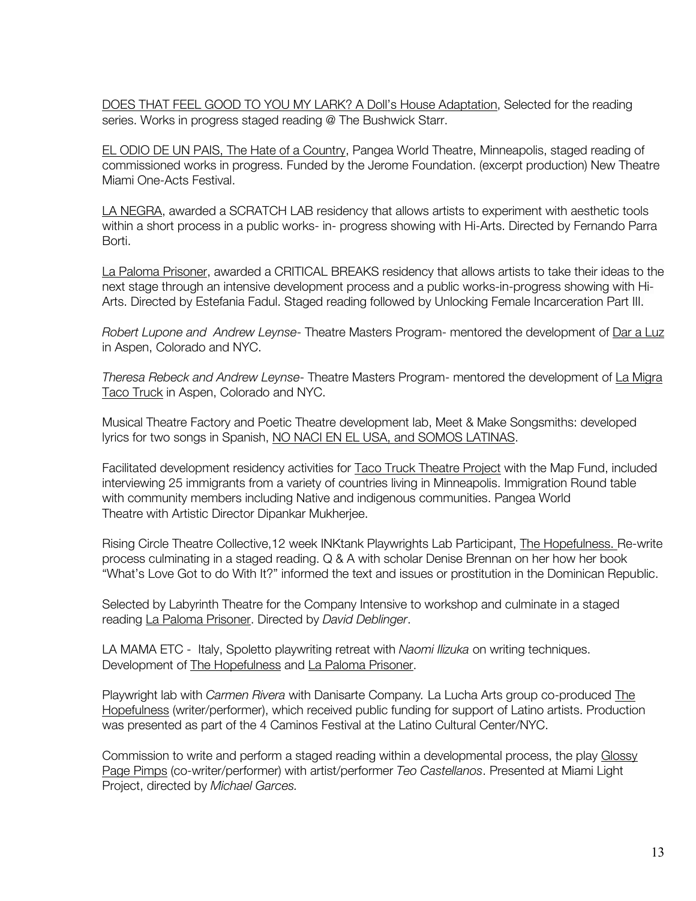DOES THAT FEEL GOOD TO YOU MY LARK? A Doll's House Adaptation, Selected for the reading series. Works in progress staged reading @ The Bushwick Starr.

EL ODIO DE UN PAIS, The Hate of a Country, Pangea World Theatre, Minneapolis, staged reading of commissioned works in progress. Funded by the Jerome Foundation. (excerpt production) New Theatre Miami One-Acts Festival.

LA NEGRA, awarded a SCRATCH LAB residency that allows artists to experiment with aesthetic tools within a short process in a public works- in- progress showing with Hi-Arts. Directed by Fernando Parra Borti.

La Paloma Prisoner, awarded a CRITICAL BREAKS residency that allows artists to take their ideas to the next stage through an intensive development process and a public works-in-progress showing with Hi-Arts. Directed by Estefania Fadul. Staged reading followed by Unlocking Female Incarceration Part III.

*Robert Lupone and Andrew Leynse*- Theatre Masters Program- mentored the development of Dar a Luz in Aspen, Colorado and NYC.

*Theresa Rebeck and Andrew Leynse*- Theatre Masters Program- mentored the development of La Migra Taco Truck in Aspen, Colorado and NYC.

Musical Theatre Factory and Poetic Theatre development lab, Meet & Make Songsmiths: developed lyrics for two songs in Spanish, NO NACI EN EL USA, and SOMOS LATINAS.

Facilitated development residency activities for Taco Truck Theatre Project with the Map Fund, included interviewing 25 immigrants from a variety of countries living in Minneapolis. Immigration Round table with community members including Native and indigenous communities. Pangea World Theatre with Artistic Director Dipankar Mukherjee.

Rising Circle Theatre Collective, 12 week INKtank Playwrights Lab Participant, The Hopefulness. Re-write process culminating in a staged reading. Q & A with scholar Denise Brennan on her how her book "What's Love Got to do With It?" informed the text and issues or prostitution in the Dominican Republic.

Selected by Labyrinth Theatre for the Company Intensive to workshop and culminate in a staged reading La Paloma Prisoner. Directed by *David Deblinger*.

LA MAMA ETC - Italy, Spoletto playwriting retreat with *Naomi Ilizuka* on writing techniques. Development of The Hopefulness and La Paloma Prisoner.

Playwright lab with *Carmen Rivera* with Danisarte Company*.* La Lucha Arts group co-produced The Hopefulness (writer/performer), which received public funding for support of Latino artists. Production was presented as part of the 4 Caminos Festival at the Latino Cultural Center/NYC.

Commission to write and perform a staged reading within a developmental process, the play Glossy Page Pimps (co-writer/performer) with artist/performer *Teo Castellanos*. Presented at Miami Light Project, directed by *Michael Garces.*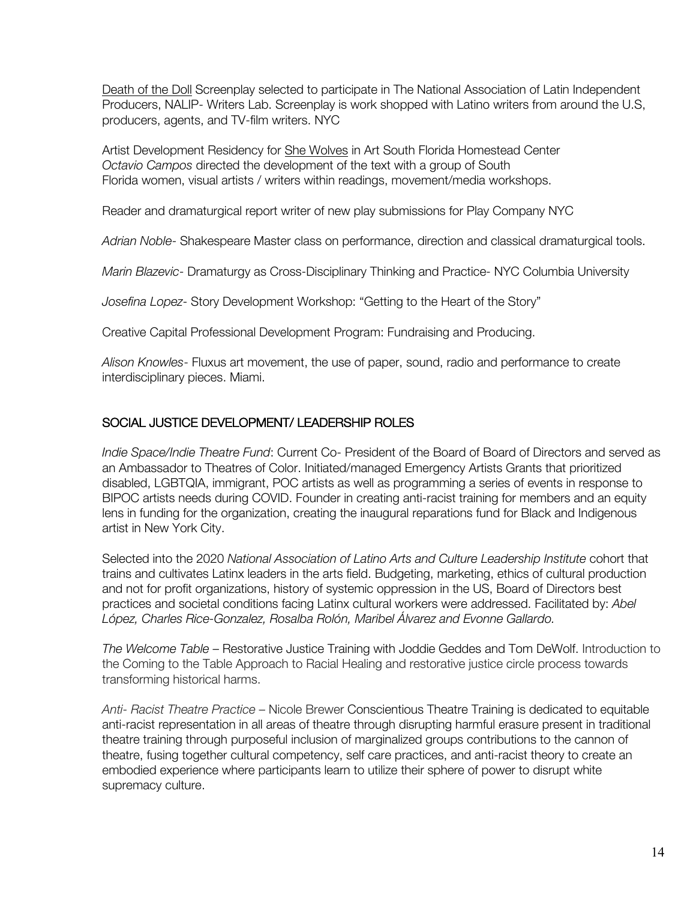Death of the Doll Screenplay selected to participate in The National Association of Latin Independent Producers, NALIP- Writers Lab. Screenplay is work shopped with Latino writers from around the U.S, producers, agents, and TV-film writers. NYC

Artist Development Residency for She Wolves in Art South Florida Homestead Center *Octavio Campos* directed the development of the text with a group of South Florida women, visual artists / writers within readings, movement/media workshops.

Reader and dramaturgical report writer of new play submissions for Play Company NYC

*Adrian Noble*- Shakespeare Master class on performance, direction and classical dramaturgical tools.

*Marin Blazevic*- Dramaturgy as Cross-Disciplinary Thinking and Practice- NYC Columbia University

*Josefina Lopez*- Story Development Workshop: "Getting to the Heart of the Story"

Creative Capital Professional Development Program: Fundraising and Producing.

*Alison Knowles*- Fluxus art movement, the use of paper, sound, radio and performance to create interdisciplinary pieces. Miami.

# SOCIAL JUSTICE DEVELOPMENT/ LEADERSHIP ROLES

*Indie Space/Indie Theatre Fund*: Current Co- President of the Board of Board of Directors and served as an Ambassador to Theatres of Color. Initiated/managed Emergency Artists Grants that prioritized disabled, LGBTQIA, immigrant, POC artists as well as programming a series of events in response to BIPOC artists needs during COVID. Founder in creating anti-racist training for members and an equity lens in funding for the organization, creating the inaugural reparations fund for Black and Indigenous artist in New York City.

Selected into the 2020 *National Association of Latino Arts and Culture Leadership Institute* cohort that trains and cultivates Latinx leaders in the arts field. Budgeting, marketing, ethics of cultural production and not for profit organizations, history of systemic oppression in the US, Board of Directors best practices and societal conditions facing Latinx cultural workers were addressed. Facilitated by: *Abel López, Charles Rice-Gonzalez, Rosalba Rolón, Maribel Álvarez and Evonne Gallardo.* 

*The Welcome Table* – Restorative Justice Training with Joddie Geddes and Tom DeWolf. Introduction to the Coming to the Table Approach to Racial Healing and restorative justice circle process towards transforming historical harms.

*Anti- Racist Theatre Practice* – Nicole Brewer Conscientious Theatre Training is dedicated to equitable anti-racist representation in all areas of theatre through disrupting harmful erasure present in traditional theatre training through purposeful inclusion of marginalized groups contributions to the cannon of theatre, fusing together cultural competency, self care practices, and anti-racist theory to create an embodied experience where participants learn to utilize their sphere of power to disrupt white supremacy culture.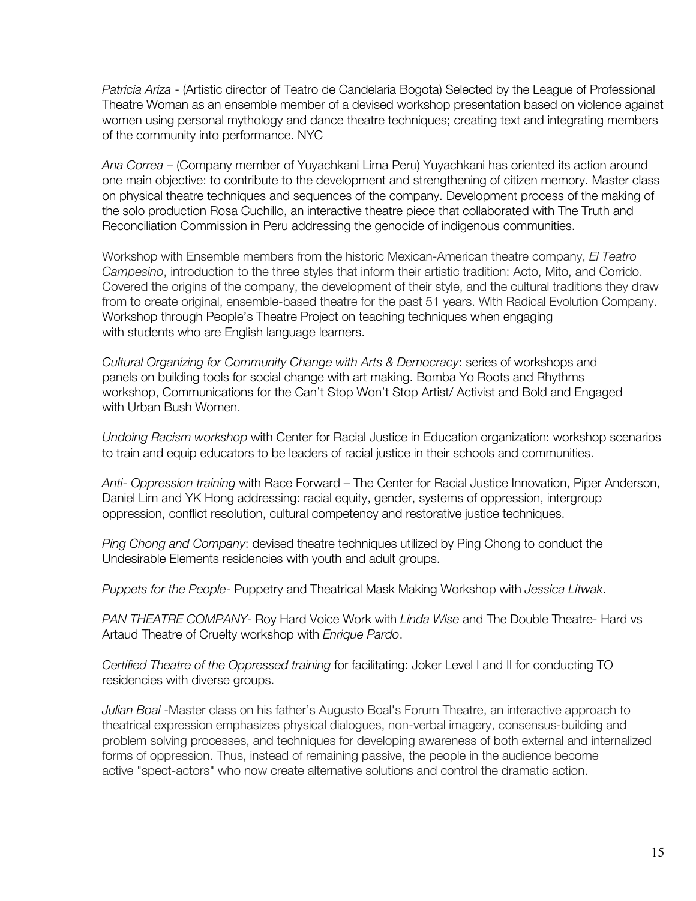*Patricia Ariza* - (Artistic director of Teatro de Candelaria Bogota) Selected by the League of Professional Theatre Woman as an ensemble member of a devised workshop presentation based on violence against women using personal mythology and dance theatre techniques; creating text and integrating members of the community into performance. NYC

*Ana Correa* – (Company member of Yuyachkani Lima Peru) Yuyachkani has oriented its action around one main objective: to contribute to the development and strengthening of citizen memory. Master class on physical theatre techniques and sequences of the company. Development process of the making of the solo production Rosa Cuchillo, an interactive theatre piece that collaborated with The Truth and Reconciliation Commission in Peru addressing the genocide of indigenous communities.

Workshop with Ensemble members from the historic Mexican-American theatre company, *El Teatro Campesino*, introduction to the three styles that inform their artistic tradition: Acto, Mito, and Corrido. Covered the origins of the company, the development of their style, and the cultural traditions they draw from to create original, ensemble-based theatre for the past 51 years. With Radical Evolution Company. Workshop through People's Theatre Project on teaching techniques when engaging with students who are English language learners.

*Cultural Organizing for Community Change with Arts & Democracy*: series of workshops and panels on building tools for social change with art making. Bomba Yo Roots and Rhythms workshop, Communications for the Can't Stop Won't Stop Artist/ Activist and Bold and Engaged with Urban Bush Women.

*Undoing Racism workshop* with Center for Racial Justice in Education organization: workshop scenarios to train and equip educators to be leaders of racial justice in their schools and communities.

*Anti- Oppression training* with Race Forward – The Center for Racial Justice Innovation, Piper Anderson, Daniel Lim and YK Hong addressing: racial equity, gender, systems of oppression, intergroup oppression, conflict resolution, cultural competency and restorative justice techniques.

*Ping Chong and Company*: devised theatre techniques utilized by Ping Chong to conduct the Undesirable Elements residencies with youth and adult groups.

*Puppets for the People*- Puppetry and Theatrical Mask Making Workshop with *Jessica Litwak*.

*PAN THEATRE COMPANY*- Roy Hard Voice Work with *Linda Wise* and The Double Theatre- Hard vs Artaud Theatre of Cruelty workshop with *Enrique Pardo*.

*Certified Theatre of the Oppressed training* for facilitating: Joker Level I and II for conducting TO residencies with diverse groups.

*Julian Boal* -Master class on his father's Augusto Boal's Forum Theatre, an interactive approach to theatrical expression emphasizes physical dialogues, non-verbal imagery, consensus-building and problem solving processes, and techniques for developing awareness of both external and internalized forms of oppression. Thus, instead of remaining passive, the people in the audience become active "spect-actors" who now create alternative solutions and control the dramatic action.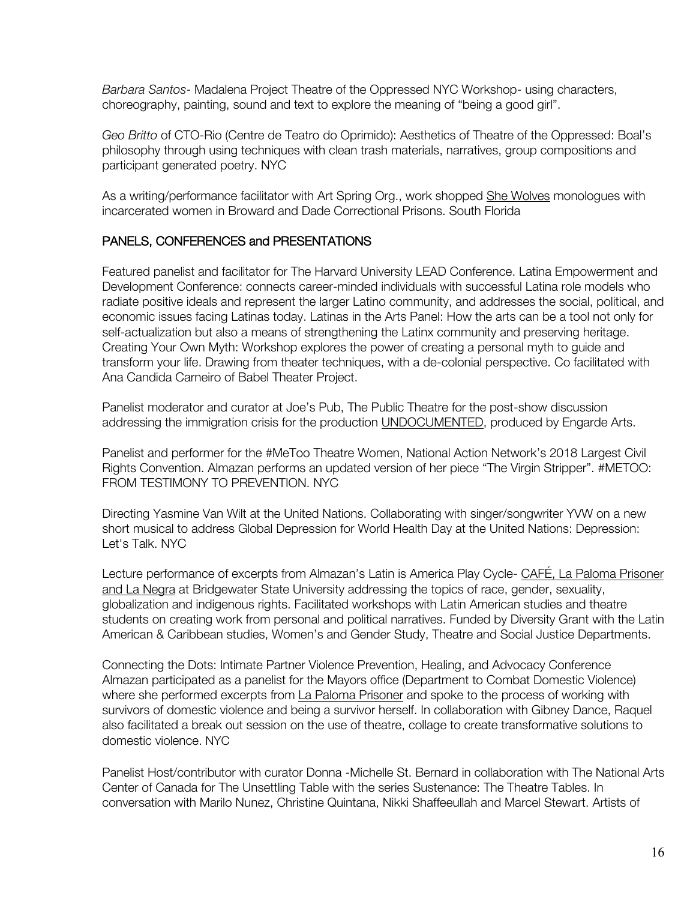*Barbara Santos*- Madalena Project Theatre of the Oppressed NYC Workshop- using characters, choreography, painting, sound and text to explore the meaning of "being a good girl".

*Geo Britto* of CTO-Rio (Centre de Teatro do Oprimido): Aesthetics of Theatre of the Oppressed: Boal's philosophy through using techniques with clean trash materials, narratives, group compositions and participant generated poetry. NYC

As a writing/performance facilitator with Art Spring Org., work shopped She Wolves monologues with incarcerated women in Broward and Dade Correctional Prisons. South Florida

# PANELS, CONFERENCES and PRESENTATIONS

Featured panelist and facilitator for The Harvard University LEAD Conference. Latina Empowerment and Development Conference: connects career-minded individuals with successful Latina role models who radiate positive ideals and represent the larger Latino community, and addresses the social, political, and economic issues facing Latinas today. Latinas in the Arts Panel: How the arts can be a tool not only for self-actualization but also a means of strengthening the Latinx community and preserving heritage. Creating Your Own Myth: Workshop explores the power of creating a personal myth to guide and transform your life. Drawing from theater techniques, with a de-colonial perspective. Co facilitated with Ana Candida Carneiro of Babel Theater Project.

Panelist moderator and curator at Joe's Pub, The Public Theatre for the post-show discussion addressing the immigration crisis for the production UNDOCUMENTED, produced by Engarde Arts.

Panelist and performer for the #MeToo Theatre Women, National Action Network's 2018 Largest Civil Rights Convention. Almazan performs an updated version of her piece "The Virgin Stripper". #METOO: FROM TESTIMONY TO PREVENTION. NYC

Directing Yasmine Van Wilt at the United Nations. Collaborating with singer/songwriter YVW on a new short musical to address Global Depression for World Health Day at the United Nations: Depression: Let's Talk. NYC

Lecture performance of excerpts from Almazan's Latin is America Play Cycle- CAFÉ, La Paloma Prisoner and La Negra at Bridgewater State University addressing the topics of race, gender, sexuality, globalization and indigenous rights. Facilitated workshops with Latin American studies and theatre students on creating work from personal and political narratives. Funded by Diversity Grant with the Latin American & Caribbean studies, Women's and Gender Study, Theatre and Social Justice Departments.

Connecting the Dots: Intimate Partner Violence Prevention, Healing, and Advocacy Conference Almazan participated as a panelist for the Mayors office (Department to Combat Domestic Violence) where she performed excerpts from La Paloma Prisoner and spoke to the process of working with survivors of domestic violence and being a survivor herself. In collaboration with Gibney Dance, Raquel also facilitated a break out session on the use of theatre, collage to create transformative solutions to domestic violence. NYC

Panelist Host/contributor with curator Donna -Michelle St. Bernard in collaboration with The National Arts Center of Canada for The Unsettling Table with the series Sustenance: The Theatre Tables. In conversation with Marilo Nunez, Christine Quintana, Nikki Shaffeeullah and Marcel Stewart. Artists of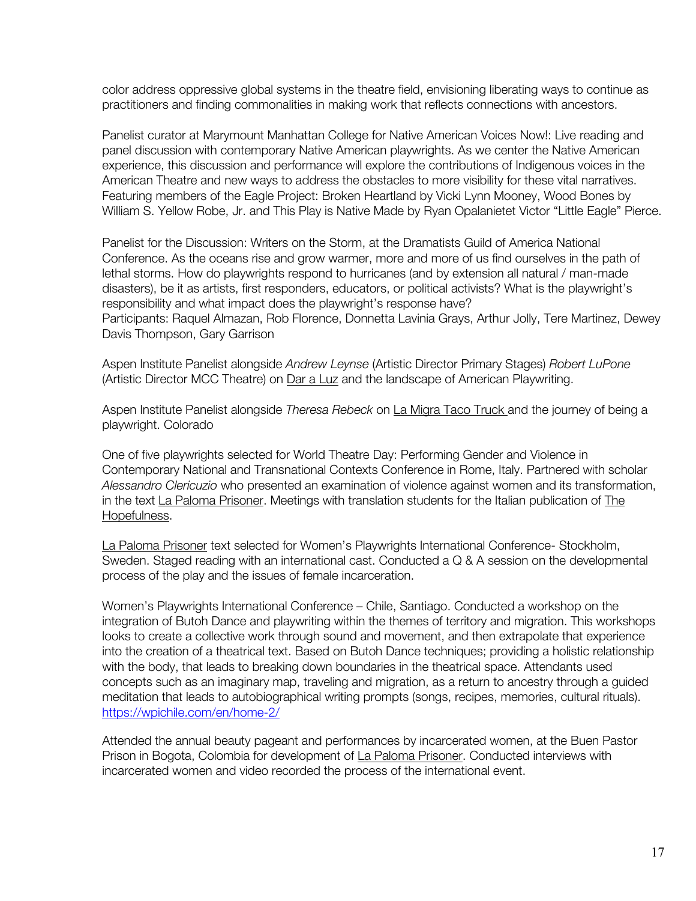color address oppressive global systems in the theatre field, envisioning liberating ways to continue as practitioners and finding commonalities in making work that reflects connections with ancestors.

Panelist curator at Marymount Manhattan College for Native American Voices Now!: Live reading and panel discussion with contemporary Native American playwrights. As we center the Native American experience, this discussion and performance will explore the contributions of Indigenous voices in the American Theatre and new ways to address the obstacles to more visibility for these vital narratives. Featuring members of the Eagle Project: Broken Heartland by Vicki Lynn Mooney, Wood Bones by William S. Yellow Robe, Jr. and This Play is Native Made by Ryan Opalanietet Victor "Little Eagle" Pierce.

Panelist for the Discussion: Writers on the Storm, at the Dramatists Guild of America National Conference. As the oceans rise and grow warmer, more and more of us find ourselves in the path of lethal storms. How do playwrights respond to hurricanes (and by extension all natural / man-made disasters), be it as artists, first responders, educators, or political activists? What is the playwright's responsibility and what impact does the playwright's response have?

Participants: Raquel Almazan, Rob Florence, Donnetta Lavinia Grays, Arthur Jolly, Tere Martinez, Dewey Davis Thompson, Gary Garrison

Aspen Institute Panelist alongside *Andrew Leynse* (Artistic Director Primary Stages) *Robert LuPone* (Artistic Director MCC Theatre) on Dar a Luz and the landscape of American Playwriting.

Aspen Institute Panelist alongside *Theresa Rebeck* on La Migra Taco Truck and the journey of being a playwright. Colorado

One of five playwrights selected for World Theatre Day: Performing Gender and Violence in Contemporary National and Transnational Contexts Conference in Rome, Italy. Partnered with scholar *Alessandro Clericuzio* who presented an examination of violence against women and its transformation, in the text La Paloma Prisoner. Meetings with translation students for the Italian publication of The Hopefulness.

La Paloma Prisoner text selected for Women's Playwrights International Conference- Stockholm, Sweden. Staged reading with an international cast. Conducted a Q & A session on the developmental process of the play and the issues of female incarceration.

Women's Playwrights International Conference – Chile, Santiago. Conducted a workshop on the integration of Butoh Dance and playwriting within the themes of territory and migration. This workshops looks to create a collective work through sound and movement, and then extrapolate that experience into the creation of a theatrical text. Based on Butoh Dance techniques; providing a holistic relationship with the body, that leads to breaking down boundaries in the theatrical space. Attendants used concepts such as an imaginary map, traveling and migration, as a return to ancestry through a guided meditation that leads to autobiographical writing prompts (songs, recipes, memories, cultural rituals). https://wpichile.com/en/home-2/

Attended the annual beauty pageant and performances by incarcerated women, at the Buen Pastor Prison in Bogota, Colombia for development of La Paloma Prisoner. Conducted interviews with incarcerated women and video recorded the process of the international event.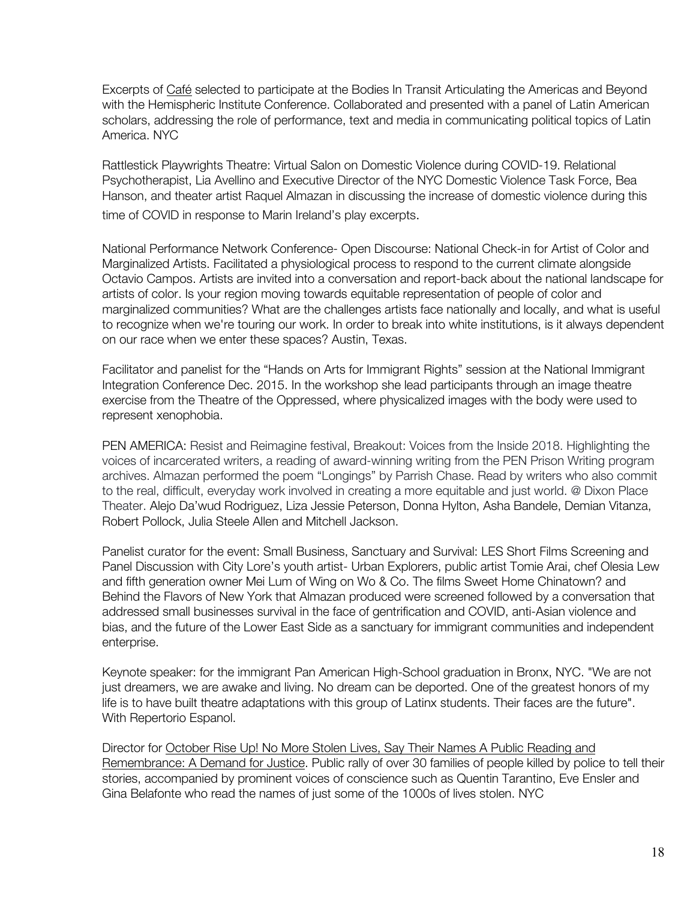Excerpts of Café selected to participate at the Bodies In Transit Articulating the Americas and Beyond with the Hemispheric Institute Conference. Collaborated and presented with a panel of Latin American scholars, addressing the role of performance, text and media in communicating political topics of Latin America. NYC

Rattlestick Playwrights Theatre: Virtual Salon on Domestic Violence during COVID-19. Relational Psychotherapist, Lia Avellino and Executive Director of the NYC Domestic Violence Task Force, Bea Hanson, and theater artist Raquel Almazan in discussing the increase of domestic violence during this time of COVID in response to Marin Ireland's play excerpts.

National Performance Network Conference- Open Discourse: National Check-in for Artist of Color and Marginalized Artists. Facilitated a physiological process to respond to the current climate alongside Octavio Campos. Artists are invited into a conversation and report-back about the national landscape for artists of color. Is your region moving towards equitable representation of people of color and marginalized communities? What are the challenges artists face nationally and locally, and what is useful to recognize when we're touring our work. In order to break into white institutions, is it always dependent on our race when we enter these spaces? Austin, Texas.

Facilitator and panelist for the "Hands on Arts for Immigrant Rights" session at the National Immigrant Integration Conference Dec. 2015. In the workshop she lead participants through an image theatre exercise from the Theatre of the Oppressed, where physicalized images with the body were used to represent xenophobia.

PEN AMERICA: Resist and Reimagine festival, Breakout: Voices from the Inside 2018. Highlighting the voices of incarcerated writers, a reading of award-winning writing from the PEN Prison Writing program archives. Almazan performed the poem "Longings" by Parrish Chase. Read by writers who also commit to the real, difficult, everyday work involved in creating a more equitable and just world. @ Dixon Place Theater. Alejo Da'wud Rodriguez, Liza Jessie Peterson, Donna Hylton, Asha Bandele, Demian Vitanza, Robert Pollock, Julia Steele Allen and Mitchell Jackson.

Panelist curator for the event: Small Business, Sanctuary and Survival: LES Short Films Screening and Panel Discussion with City Lore's youth artist- Urban Explorers, public artist Tomie Arai, chef Olesia Lew and fifth generation owner Mei Lum of Wing on Wo & Co. The films Sweet Home Chinatown? and Behind the Flavors of New York that Almazan produced were screened followed by a conversation that addressed small businesses survival in the face of gentrification and COVID, anti-Asian violence and bias, and the future of the Lower East Side as a sanctuary for immigrant communities and independent enterprise.

Keynote speaker: for the immigrant Pan American High-School graduation in Bronx, NYC. "We are not just dreamers, we are awake and living. No dream can be deported. One of the greatest honors of my life is to have built theatre adaptations with this group of Latinx students. Their faces are the future". With Repertorio Espanol.

Director for October Rise Up! No More Stolen Lives, Say Their Names A Public Reading and Remembrance: A Demand for Justice. Public rally of over 30 families of people killed by police to tell their stories, accompanied by prominent voices of conscience such as Quentin Tarantino, Eve Ensler and Gina Belafonte who read the names of just some of the 1000s of lives stolen. NYC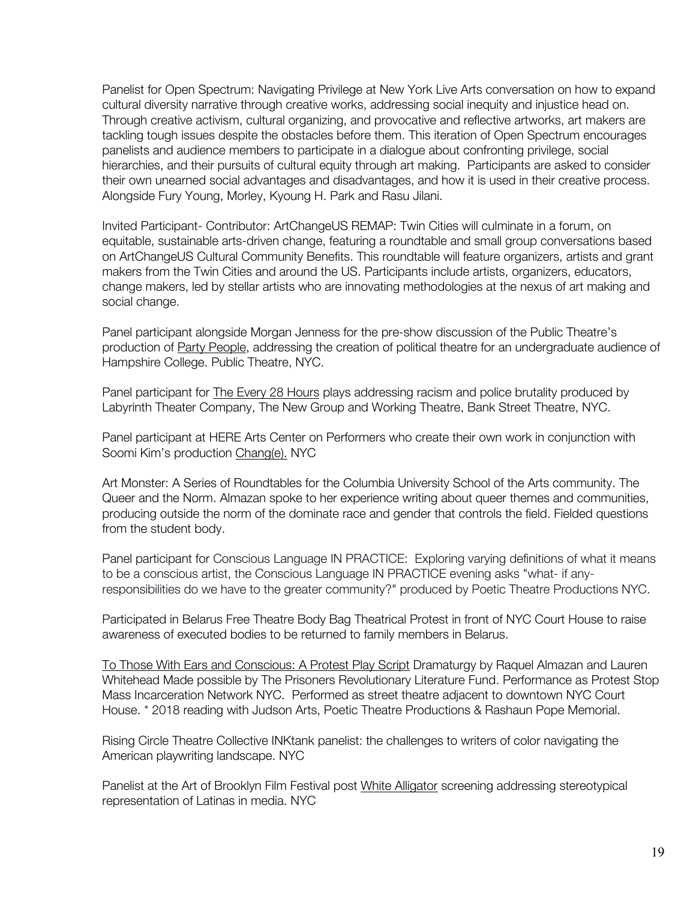Panelist for Open Spectrum: Navigating Privilege at New York Live Arts conversation on how to expand cultural diversity narrative through creative works, addressing social inequity and injustice head on. Through creative activism, cultural organizing, and provocative and reflective artworks, art makers are tackling tough issues despite the obstacles before them. This iteration of Open Spectrum encourages panelists and audience members to participate in a dialogue about confronting privilege, social hierarchies, and their pursuits of cultural equity through art making. Participants are asked to consider their own unearned social advantages and disadvantages, and how it is used in their creative process. Alongside Fury Young, Morley, Kyoung H. Park and Rasu Jilani.

Invited Participant- Contributor: ArtChangeUS REMAP: Twin Cities will culminate in a forum, on equitable, sustainable arts-driven change, featuring a roundtable and small group conversations based on ArtChangeUS Cultural Community Benefits. This roundtable will feature organizers, artists and grant makers from the Twin Cities and around the US. Participants include artists, organizers, educators, change makers, led by stellar artists who are innovating methodologies at the nexus of art making and social change.

Panel participant alongside Morgan Jenness for the pre-show discussion of the Public Theatre's production of Party People, addressing the creation of political theatre for an undergraduate audience of Hampshire College. Public Theatre, NYC.

Panel participant for The Every 28 Hours plays addressing racism and police brutality produced by Labyrinth Theater Company, The New Group and Working Theatre, Bank Street Theatre, NYC.

Panel participant at HERE Arts Center on Performers who create their own work in conjunction with Soomi Kim's production Chang(e). NYC

Art Monster: A Series of Roundtables for the Columbia University School of the Arts community. The Queer and the Norm. Almazan spoke to her experience writing about queer themes and communities, producing outside the norm of the dominate race and gender that controls the field. Fielded questions from the student body.

Panel participant for Conscious Language IN PRACTICE: Exploring varying definitions of what it means to be a conscious artist, the Conscious Language IN PRACTICE evening asks "what- if anyresponsibilities do we have to the greater community?" produced by Poetic Theatre Productions NYC.

Participated in Belarus Free Theatre Body Bag Theatrical Protest in front of NYC Court House to raise awareness of executed bodies to be returned to family members in Belarus.

To Those With Ears and Conscious: A Protest Play Script Dramaturgy by Raquel Almazan and Lauren Whitehead Made possible by The Prisoners Revolutionary Literature Fund. Performance as Protest Stop Mass Incarceration Network NYC. Performed as street theatre adjacent to downtown NYC Court House. \* 2018 reading with Judson Arts, Poetic Theatre Productions & Rashaun Pope Memorial.

Rising Circle Theatre Collective INKtank panelist: the challenges to writers of color navigating the American playwriting landscape. NYC

Panelist at the Art of Brooklyn Film Festival post White Alligator screening addressing stereotypical representation of Latinas in media. NYC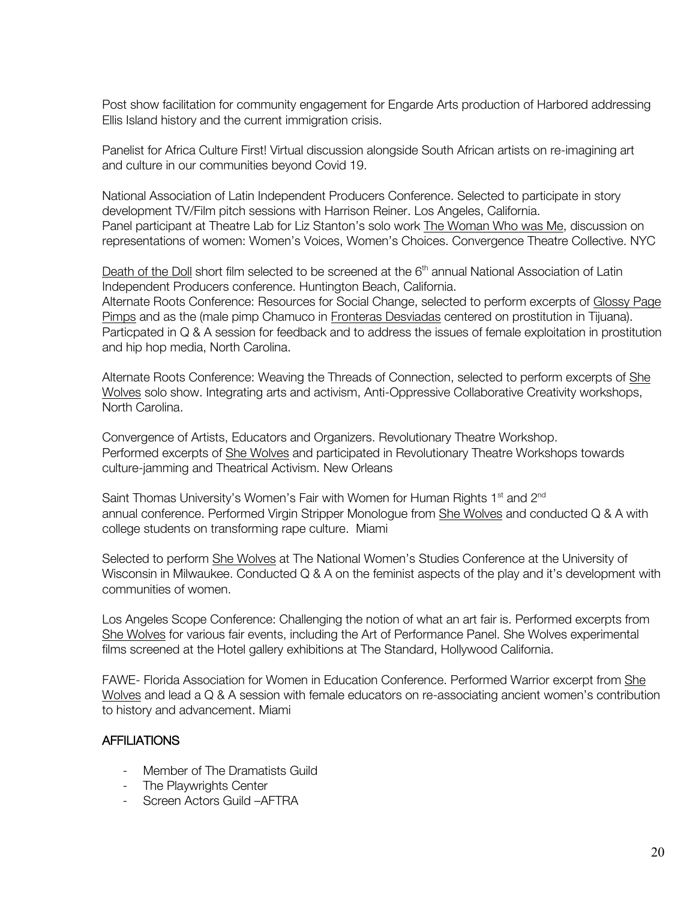Post show facilitation for community engagement for Engarde Arts production of Harbored addressing Ellis Island history and the current immigration crisis.

Panelist for Africa Culture First! Virtual discussion alongside South African artists on re-imagining art and culture in our communities beyond Covid 19.

National Association of Latin Independent Producers Conference. Selected to participate in story development TV/Film pitch sessions with Harrison Reiner. Los Angeles, California. Panel participant at Theatre Lab for Liz Stanton's solo work The Woman Who was Me, discussion on representations of women: Women's Voices, Women's Choices. Convergence Theatre Collective. NYC

Death of the Doll short film selected to be screened at the 6<sup>th</sup> annual National Association of Latin Independent Producers conference. Huntington Beach, California. Alternate Roots Conference: Resources for Social Change, selected to perform excerpts of Glossy Page Pimps and as the (male pimp Chamuco in Fronteras Desviadas centered on prostitution in Tijuana). Particpated in Q & A session for feedback and to address the issues of female exploitation in prostitution and hip hop media, North Carolina.

Alternate Roots Conference: Weaving the Threads of Connection, selected to perform excerpts of She Wolves solo show. Integrating arts and activism, Anti-Oppressive Collaborative Creativity workshops, North Carolina.

Convergence of Artists, Educators and Organizers. Revolutionary Theatre Workshop. Performed excerpts of She Wolves and participated in Revolutionary Theatre Workshops towards culture-jamming and Theatrical Activism. New Orleans

Saint Thomas University's Women's Fair with Women for Human Rights 1<sup>st</sup> and 2<sup>nd</sup> annual conference. Performed Virgin Stripper Monologue from She Wolves and conducted Q & A with college students on transforming rape culture. Miami

Selected to perform She Wolves at The National Women's Studies Conference at the University of Wisconsin in Milwaukee. Conducted Q & A on the feminist aspects of the play and it's development with communities of women.

Los Angeles Scope Conference: Challenging the notion of what an art fair is. Performed excerpts from She Wolves for various fair events, including the Art of Performance Panel. She Wolves experimental films screened at the Hotel gallery exhibitions at The Standard, Hollywood California.

FAWE- Florida Association for Women in Education Conference. Performed Warrior excerpt from She Wolves and lead a Q & A session with female educators on re-associating ancient women's contribution to history and advancement. Miami

# AFFILIATIONS

- Member of The Dramatists Guild
- The Playwrights Center
- Screen Actors Guild –AFTRA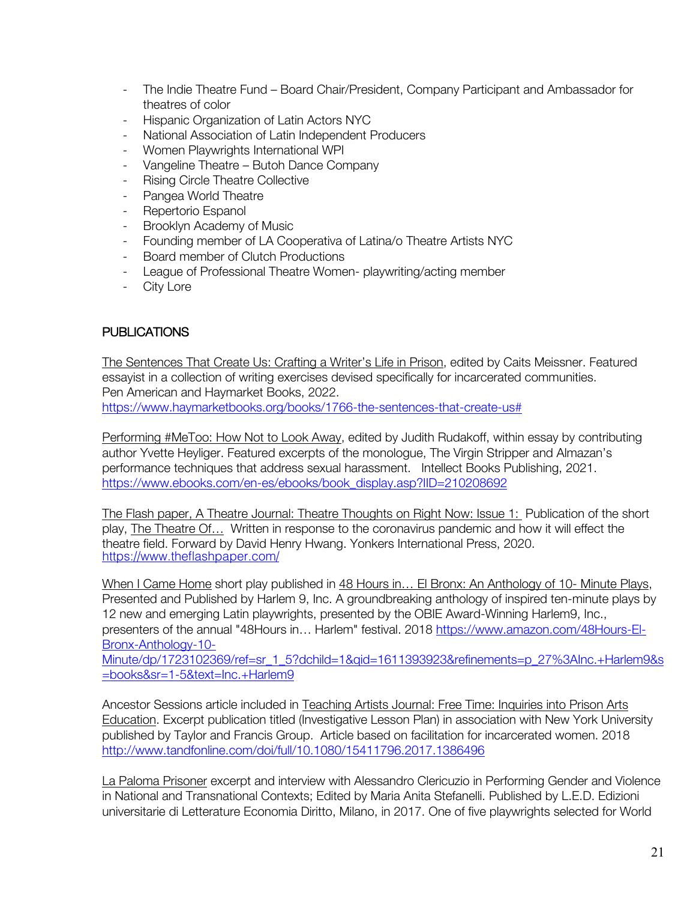- The Indie Theatre Fund Board Chair/President, Company Participant and Ambassador for theatres of color
- Hispanic Organization of Latin Actors NYC
- National Association of Latin Independent Producers
- Women Playwrights International WPI
- Vangeline Theatre Butoh Dance Company
- **Rising Circle Theatre Collective**
- Pangea World Theatre
- Repertorio Espanol
- Brooklyn Academy of Music
- Founding member of LA Cooperativa of Latina/o Theatre Artists NYC
- Board member of Clutch Productions
- League of Professional Theatre Women- playwriting/acting member
- City Lore

# PUBLICATIONS

The Sentences That Create Us: Crafting a Writer's Life in Prison, edited by Caits Meissner. Featured essayist in a collection of writing exercises devised specifically for incarcerated communities. Pen American and Haymarket Books, 2022. https://www.haymarketbooks.org/books/1766-the-sentences-that-create-us#

Performing #MeToo: How Not to Look Away, edited by Judith Rudakoff, within essay by contributing author Yvette Heyliger. Featured excerpts of the monologue, The Virgin Stripper and Almazan's performance techniques that address sexual harassment. Intellect Books Publishing, 2021. https://www.ebooks.com/en-es/ebooks/book\_display.asp?IID=210208692

The Flash paper, A Theatre Journal: Theatre Thoughts on Right Now: Issue 1: Publication of the short play, The Theatre Of… Written in response to the coronavirus pandemic and how it will effect the theatre field. Forward by David Henry Hwang. Yonkers International Press, 2020. https://www.theflashpaper.com/

When I Came Home short play published in 48 Hours in… El Bronx: An Anthology of 10- Minute Plays, Presented and Published by Harlem 9, Inc. A groundbreaking anthology of inspired ten-minute plays by 12 new and emerging Latin playwrights, presented by the OBIE Award-Winning Harlem9, Inc., presenters of the annual "48Hours in… Harlem" festival. 2018 https://www.amazon.com/48Hours-El-Bronx-Anthology-10-

Minute/dp/1723102369/ref=sr\_1\_5?dchild=1&qid=1611393923&refinements=p\_27%3AInc.+Harlem9&s =books&sr=1-5&text=Inc.+Harlem9

Ancestor Sessions article included in Teaching Artists Journal: Free Time: Inquiries into Prison Arts Education. Excerpt publication titled (Investigative Lesson Plan) in association with New York University published by Taylor and Francis Group. Article based on facilitation for incarcerated women. 2018 http://www.tandfonline.com/doi/full/10.1080/15411796.2017.1386496

La Paloma Prisoner excerpt and interview with Alessandro Clericuzio in Performing Gender and Violence in National and Transnational Contexts; Edited by Maria Anita Stefanelli. Published by L.E.D. Edizioni universitarie di Letterature Economia Diritto, Milano, in 2017. One of five playwrights selected for World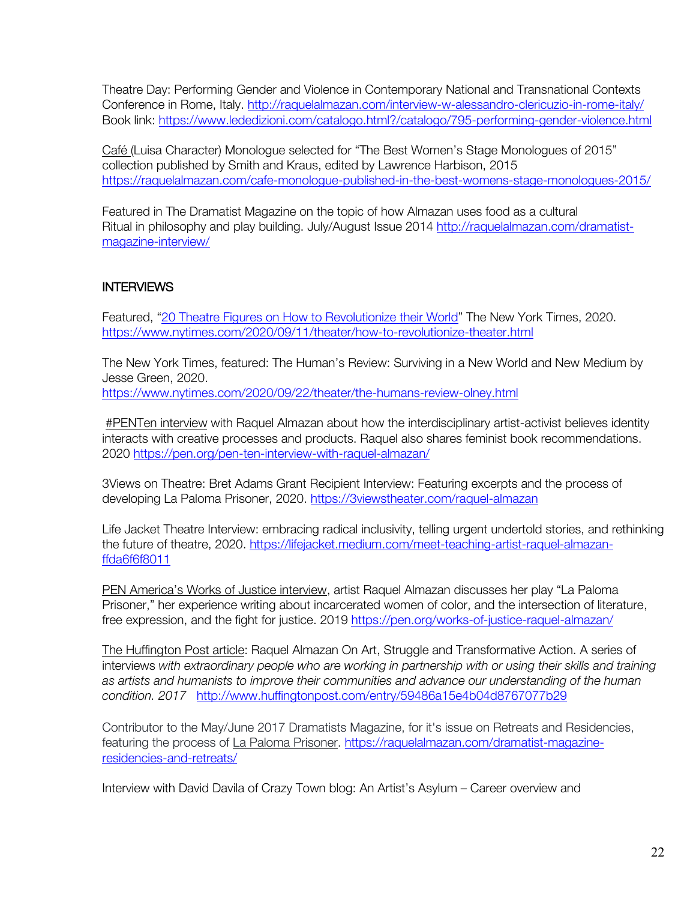Theatre Day: Performing Gender and Violence in Contemporary National and Transnational Contexts Conference in Rome, Italy. http://raquelalmazan.com/interview-w-alessandro-clericuzio-in-rome-italy/ Book link: https://www.lededizioni.com/catalogo.html?/catalogo/795-performing-gender-violence.html

Café (Luisa Character) Monologue selected for "The Best Women's Stage Monologues of 2015" collection published by Smith and Kraus, edited by Lawrence Harbison, 2015 https://raquelalmazan.com/cafe-monologue-published-in-the-best-womens-stage-monologues-2015/

Featured in The Dramatist Magazine on the topic of how Almazan uses food as a cultural Ritual in philosophy and play building. July/August Issue 2014 http://raquelalmazan.com/dramatistmagazine-interview/

# **INTERVIEWS**

Featured, "20 Theatre Figures on How to Revolutionize their World" The New York Times, 2020. https://www.nytimes.com/2020/09/11/theater/how-to-revolutionize-theater.html

The New York Times, featured: The Human's Review: Surviving in a New World and New Medium by Jesse Green, 2020.

https://www.nytimes.com/2020/09/22/theater/the-humans-review-olney.html

#PENTen interview with Raquel Almazan about how the interdisciplinary artist-activist believes identity interacts with creative processes and products. Raquel also shares feminist book recommendations. 2020 https://pen.org/pen-ten-interview-with-raquel-almazan/

3Views on Theatre: Bret Adams Grant Recipient Interview: Featuring excerpts and the process of developing La Paloma Prisoner, 2020. https://3viewstheater.com/raquel-almazan

Life Jacket Theatre Interview: embracing radical inclusivity, telling urgent undertold stories, and rethinking the future of theatre, 2020. https://lifejacket.medium.com/meet-teaching-artist-raquel-almazanffda6f6f8011

PEN America's Works of Justice interview, artist Raquel Almazan discusses her play "La Paloma Prisoner," her experience writing about incarcerated women of color, and the intersection of literature, free expression, and the fight for justice. 2019 https://pen.org/works-of-justice-raquel-almazan/

The Huffington Post article: Raquel Almazan On Art, Struggle and Transformative Action. A series of interviews *with extraordinary people who are working in partnership with or using their skills and training as artists and humanists to improve their communities and advance our understanding of the human condition. 2017* http://www.huffingtonpost.com/entry/59486a15e4b04d8767077b29

Contributor to the May/June 2017 Dramatists Magazine, for it's issue on Retreats and Residencies, featuring the process of La Paloma Prisoner. https://raquelalmazan.com/dramatist-magazineresidencies-and-retreats/

Interview with David Davila of Crazy Town blog: An Artist's Asylum – Career overview and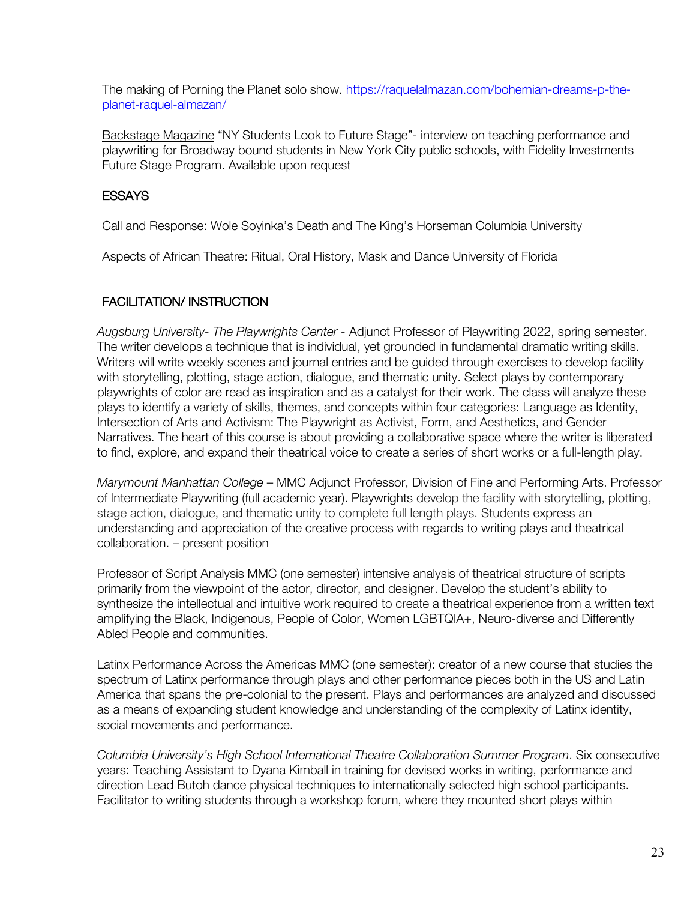The making of Porning the Planet solo show. https://raquelalmazan.com/bohemian-dreams-p-theplanet-raquel-almazan/

Backstage Magazine "NY Students Look to Future Stage"- interview on teaching performance and playwriting for Broadway bound students in New York City public schools, with Fidelity Investments Future Stage Program. Available upon request

# **ESSAYS**

Call and Response: Wole Soyinka's Death and The King's Horseman Columbia University

Aspects of African Theatre: Ritual, Oral History, Mask and Dance University of Florida

# FACILITATION/ INSTRUCTION

*Augsburg University- The Playwrights Center -* Adjunct Professor of Playwriting 2022, spring semester. The writer develops a technique that is individual, yet grounded in fundamental dramatic writing skills. Writers will write weekly scenes and journal entries and be guided through exercises to develop facility with storytelling, plotting, stage action, dialogue, and thematic unity. Select plays by contemporary playwrights of color are read as inspiration and as a catalyst for their work. The class will analyze these plays to identify a variety of skills, themes, and concepts within four categories: Language as Identity, Intersection of Arts and Activism: The Playwright as Activist, Form, and Aesthetics, and Gender Narratives. The heart of this course is about providing a collaborative space where the writer is liberated to find, explore, and expand their theatrical voice to create a series of short works or a full-length play.

*Marymount Manhattan College* – MMC Adjunct Professor, Division of Fine and Performing Arts. Professor of Intermediate Playwriting (full academic year). Playwrights develop the facility with storytelling, plotting, stage action, dialogue, and thematic unity to complete full length plays. Students express an understanding and appreciation of the creative process with regards to writing plays and theatrical collaboration. – present position

Professor of Script Analysis MMC (one semester) intensive analysis of theatrical structure of scripts primarily from the viewpoint of the actor, director, and designer. Develop the student's ability to synthesize the intellectual and intuitive work required to create a theatrical experience from a written text amplifying the Black, Indigenous, People of Color, Women LGBTQIA+, Neuro-diverse and Differently Abled People and communities.

Latinx Performance Across the Americas MMC (one semester): creator of a new course that studies the spectrum of Latinx performance through plays and other performance pieces both in the US and Latin America that spans the pre-colonial to the present. Plays and performances are analyzed and discussed as a means of expanding student knowledge and understanding of the complexity of Latinx identity, social movements and performance.

*Columbia University's High School International Theatre Collaboration Summer Program*. Six consecutive years: Teaching Assistant to Dyana Kimball in training for devised works in writing, performance and direction Lead Butoh dance physical techniques to internationally selected high school participants. Facilitator to writing students through a workshop forum, where they mounted short plays within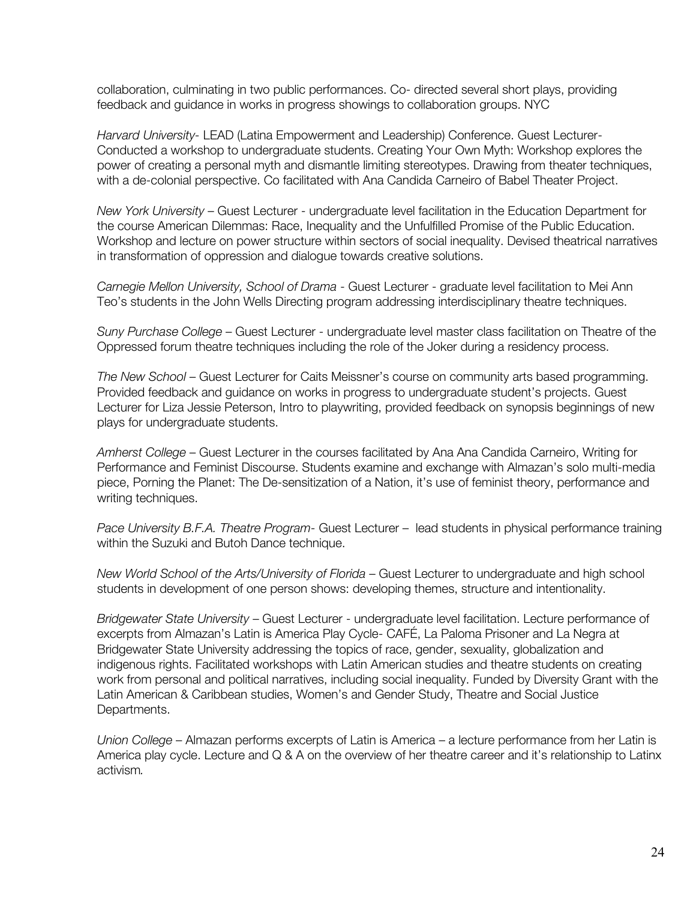collaboration, culminating in two public performances. Co- directed several short plays, providing feedback and guidance in works in progress showings to collaboration groups. NYC

*Harvard University-* LEAD (Latina Empowerment and Leadership) Conference. Guest Lecturer-Conducted a workshop to undergraduate students. Creating Your Own Myth: Workshop explores the power of creating a personal myth and dismantle limiting stereotypes. Drawing from theater techniques, with a de-colonial perspective. Co facilitated with Ana Candida Carneiro of Babel Theater Project.

*New York University* – Guest Lecturer - undergraduate level facilitation in the Education Department for the course American Dilemmas: Race, Inequality and the Unfulfilled Promise of the Public Education. Workshop and lecture on power structure within sectors of social inequality. Devised theatrical narratives in transformation of oppression and dialogue towards creative solutions.

*Carnegie Mellon University, School of Drama* - Guest Lecturer - graduate level facilitation to Mei Ann Teo's students in the John Wells Directing program addressing interdisciplinary theatre techniques.

*Suny Purchase College* – Guest Lecturer - undergraduate level master class facilitation on Theatre of the Oppressed forum theatre techniques including the role of the Joker during a residency process.

*The New School* – Guest Lecturer for Caits Meissner's course on community arts based programming. Provided feedback and guidance on works in progress to undergraduate student's projects. Guest Lecturer for Liza Jessie Peterson, Intro to playwriting, provided feedback on synopsis beginnings of new plays for undergraduate students.

*Amherst College* – Guest Lecturer in the courses facilitated by Ana Ana Candida Carneiro, Writing for Performance and Feminist Discourse. Students examine and exchange with Almazan's solo multi-media piece, Porning the Planet: The De-sensitization of a Nation, it's use of feminist theory, performance and writing techniques.

*Pace University B.F.A. Theatre Program-* Guest Lecturer – lead students in physical performance training within the Suzuki and Butoh Dance technique.

*New World School of the Arts/University of Florida* – Guest Lecturer to undergraduate and high school students in development of one person shows: developing themes, structure and intentionality.

*Bridgewater State University* – Guest Lecturer - undergraduate level facilitation. Lecture performance of excerpts from Almazan's Latin is America Play Cycle- CAFÉ, La Paloma Prisoner and La Negra at Bridgewater State University addressing the topics of race, gender, sexuality, globalization and indigenous rights. Facilitated workshops with Latin American studies and theatre students on creating work from personal and political narratives, including social inequality. Funded by Diversity Grant with the Latin American & Caribbean studies, Women's and Gender Study, Theatre and Social Justice Departments.

*Union College* – Almazan performs excerpts of Latin is America – a lecture performance from her Latin is America play cycle. Lecture and Q & A on the overview of her theatre career and it's relationship to Latinx activism*.*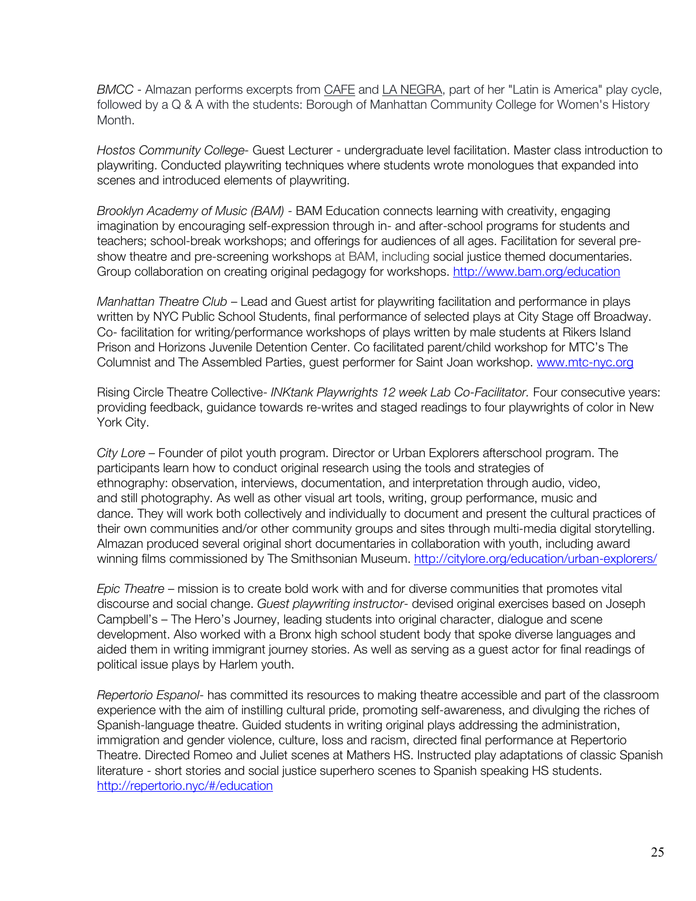*BMCC* - Almazan performs excerpts from CAFE and LA NEGRA, part of her "Latin is America" play cycle, followed by a Q & A with the students: Borough of Manhattan Community College for Women's History Month.

*Hostos Community College-* Guest Lecturer - undergraduate level facilitation. Master class introduction to playwriting. Conducted playwriting techniques where students wrote monologues that expanded into scenes and introduced elements of playwriting.

*Brooklyn Academy of Music (BAM)* - BAM Education connects learning with creativity, engaging imagination by encouraging self-expression through in- and after-school programs for students and teachers; school-break workshops; and offerings for audiences of all ages. Facilitation for several preshow theatre and pre-screening workshops at BAM, including social justice themed documentaries. Group collaboration on creating original pedagogy for workshops. http://www.bam.org/education

*Manhattan Theatre Club* – Lead and Guest artist for playwriting facilitation and performance in plays written by NYC Public School Students, final performance of selected plays at City Stage off Broadway. Co- facilitation for writing/performance workshops of plays written by male students at Rikers Island Prison and Horizons Juvenile Detention Center. Co facilitated parent/child workshop for MTC's The Columnist and The Assembled Parties, guest performer for Saint Joan workshop. www.mtc-nyc.org

Rising Circle Theatre Collective- *INKtank Playwrights 12 week Lab Co-Facilitator.* Four consecutive years: providing feedback, guidance towards re-writes and staged readings to four playwrights of color in New York City.

*City Lore* – Founder of pilot youth program. Director or Urban Explorers afterschool program. The participants learn how to conduct original research using the tools and strategies of ethnography: observation, interviews, documentation, and interpretation through audio, video, and still photography. As well as other visual art tools, writing, group performance, music and dance. They will work both collectively and individually to document and present the cultural practices of their own communities and/or other community groups and sites through multi-media digital storytelling. Almazan produced several original short documentaries in collaboration with youth, including award winning films commissioned by The Smithsonian Museum. http://citylore.org/education/urban-explorers/

*Epic Theatre* – mission is to create bold work with and for diverse communities that promotes vital discourse and social change. *Guest playwriting instructor*- devised original exercises based on Joseph Campbell's – The Hero's Journey, leading students into original character, dialogue and scene development. Also worked with a Bronx high school student body that spoke diverse languages and aided them in writing immigrant journey stories. As well as serving as a guest actor for final readings of political issue plays by Harlem youth.

*Repertorio Espanol*- has committed its resources to making theatre accessible and part of the classroom experience with the aim of instilling cultural pride, promoting self-awareness, and divulging the riches of Spanish-language theatre. Guided students in writing original plays addressing the administration, immigration and gender violence, culture, loss and racism, directed final performance at Repertorio Theatre. Directed Romeo and Juliet scenes at Mathers HS. Instructed play adaptations of classic Spanish literature - short stories and social justice superhero scenes to Spanish speaking HS students. http://repertorio.nyc/#/education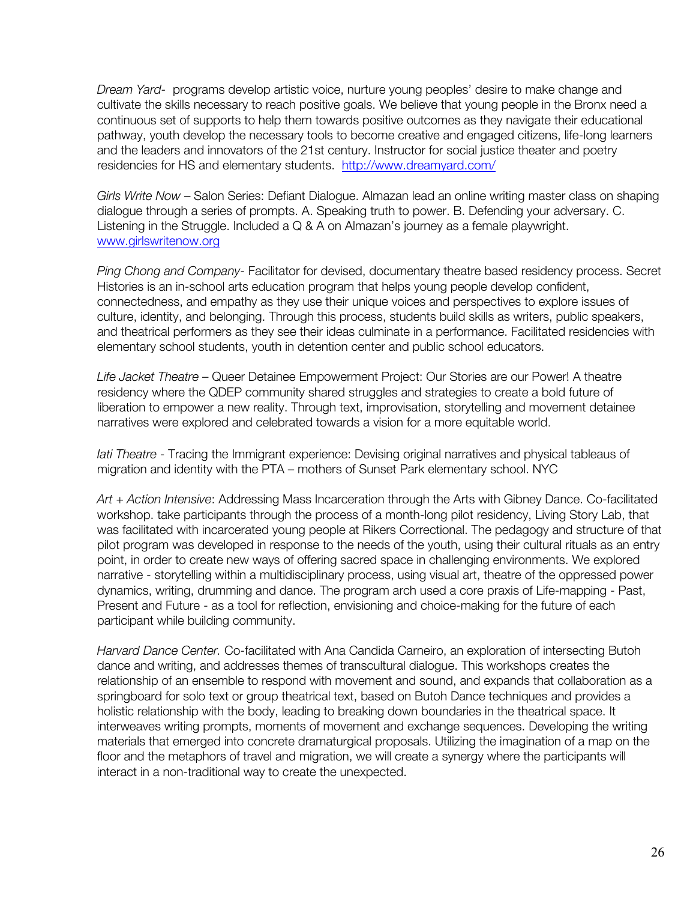*Dream Yard-* programs develop artistic voice, nurture young peoples' desire to make change and cultivate the skills necessary to reach positive goals. We believe that young people in the Bronx need a continuous set of supports to help them towards positive outcomes as they navigate their educational pathway, youth develop the necessary tools to become creative and engaged citizens, life-long learners and the leaders and innovators of the 21st century. Instructor for social justice theater and poetry residencies for HS and elementary students. http://www.dreamyard.com/

*Girls Write Now* – Salon Series: Defiant Dialogue. Almazan lead an online writing master class on shaping dialogue through a series of prompts. A. Speaking truth to power. B. Defending your adversary. C. Listening in the Struggle. Included a Q & A on Almazan's journey as a female playwright. www.girlswritenow.org

*Ping Chong and Company*- Facilitator for devised, documentary theatre based residency process. Secret Histories is an in-school arts education program that helps young people develop confident, connectedness, and empathy as they use their unique voices and perspectives to explore issues of culture, identity, and belonging. Through this process, students build skills as writers, public speakers, and theatrical performers as they see their ideas culminate in a performance. Facilitated residencies with elementary school students, youth in detention center and public school educators.

*Life Jacket Theatre* – Queer Detainee Empowerment Project: Our Stories are our Power! A theatre residency where the QDEP community shared struggles and strategies to create a bold future of liberation to empower a new reality. Through text, improvisation, storytelling and movement detainee narratives were explored and celebrated towards a vision for a more equitable world.

*Iati Theatre* - Tracing the Immigrant experience: Devising original narratives and physical tableaus of migration and identity with the PTA – mothers of Sunset Park elementary school. NYC

*Art + Action Intensive*: Addressing Mass Incarceration through the Arts with Gibney Dance. Co-facilitated workshop. take participants through the process of a month-long pilot residency, Living Story Lab, that was facilitated with incarcerated young people at Rikers Correctional. The pedagogy and structure of that pilot program was developed in response to the needs of the youth, using their cultural rituals as an entry point, in order to create new ways of offering sacred space in challenging environments. We explored narrative - storytelling within a multidisciplinary process, using visual art, theatre of the oppressed power dynamics, writing, drumming and dance. The program arch used a core praxis of Life-mapping - Past, Present and Future - as a tool for reflection, envisioning and choice-making for the future of each participant while building community.

*Harvard Dance Center.* Co-facilitated with Ana Candida Carneiro, an exploration of intersecting Butoh dance and writing, and addresses themes of transcultural dialogue. This workshops creates the relationship of an ensemble to respond with movement and sound, and expands that collaboration as a springboard for solo text or group theatrical text, based on Butoh Dance techniques and provides a holistic relationship with the body, leading to breaking down boundaries in the theatrical space. It interweaves writing prompts, moments of movement and exchange sequences. Developing the writing materials that emerged into concrete dramaturgical proposals. Utilizing the imagination of a map on the floor and the metaphors of travel and migration, we will create a synergy where the participants will interact in a non-traditional way to create the unexpected.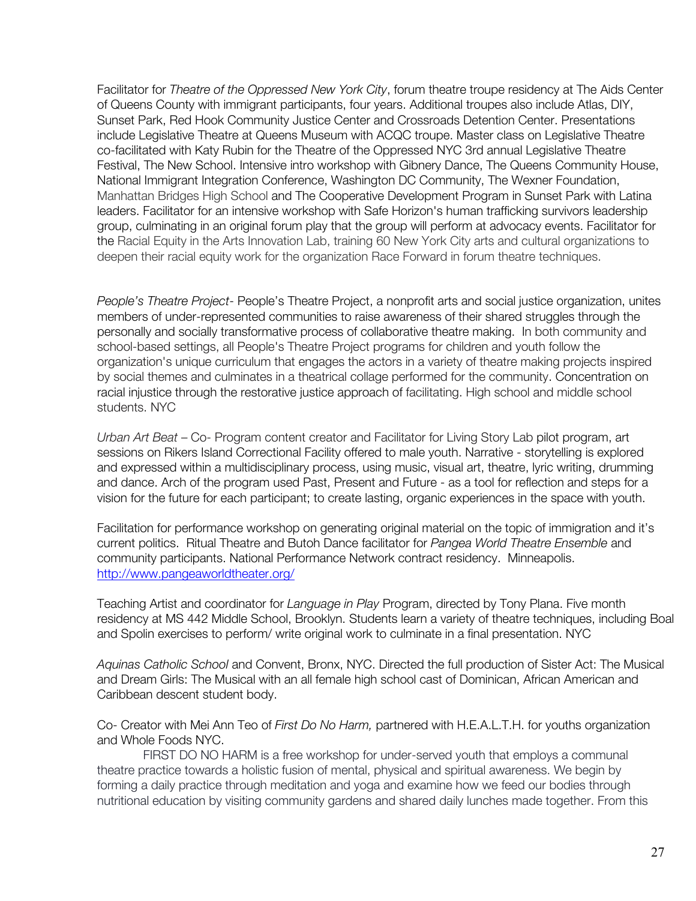Facilitator for *Theatre of the Oppressed New York City*, forum theatre troupe residency at The Aids Center of Queens County with immigrant participants, four years. Additional troupes also include Atlas, DIY, Sunset Park, Red Hook Community Justice Center and Crossroads Detention Center. Presentations include Legislative Theatre at Queens Museum with ACQC troupe. Master class on Legislative Theatre co-facilitated with Katy Rubin for the Theatre of the Oppressed NYC 3rd annual Legislative Theatre Festival, The New School. Intensive intro workshop with Gibnery Dance, The Queens Community House, National Immigrant Integration Conference, Washington DC Community, The Wexner Foundation, Manhattan Bridges High School and The Cooperative Development Program in Sunset Park with Latina leaders. Facilitator for an intensive workshop with Safe Horizon's human trafficking survivors leadership group, culminating in an original forum play that the group will perform at advocacy events. Facilitator for the Racial Equity in the Arts Innovation Lab, training 60 New York City arts and cultural organizations to deepen their racial equity work for the organization Race Forward in forum theatre techniques.

*People's Theatre Project*- People's Theatre Project, a nonprofit arts and social justice organization, unites members of under-represented communities to raise awareness of their shared struggles through the personally and socially transformative process of collaborative theatre making. In both community and school-based settings, all People's Theatre Project programs for children and youth follow the organization's unique curriculum that engages the actors in a variety of theatre making projects inspired by social themes and culminates in a theatrical collage performed for the community. Concentration on racial injustice through the restorative justice approach of facilitating. High school and middle school students. NYC

*Urban Art Beat* – Co- Program content creator and Facilitator for Living Story Lab pilot program, art sessions on Rikers Island Correctional Facility offered to male youth. Narrative - storytelling is explored and expressed within a multidisciplinary process, using music, visual art, theatre, lyric writing, drumming and dance. Arch of the program used Past, Present and Future - as a tool for reflection and steps for a vision for the future for each participant; to create lasting, organic experiences in the space with youth.

Facilitation for performance workshop on generating original material on the topic of immigration and it's current politics. Ritual Theatre and Butoh Dance facilitator for *Pangea World Theatre Ensemble* and community participants. National Performance Network contract residency. Minneapolis. http://www.pangeaworldtheater.org/

Teaching Artist and coordinator for *Language in Play* Program, directed by Tony Plana. Five month residency at MS 442 Middle School, Brooklyn. Students learn a variety of theatre techniques, including Boal and Spolin exercises to perform/ write original work to culminate in a final presentation. NYC

*Aquinas Catholic School* and Convent, Bronx, NYC. Directed the full production of Sister Act: The Musical and Dream Girls: The Musical with an all female high school cast of Dominican, African American and Caribbean descent student body.

Co- Creator with Mei Ann Teo of *First Do No Harm,* partnered with H.E.A.L.T.H. for youths organization and Whole Foods NYC.

FIRST DO NO HARM is a free workshop for under-served youth that employs a communal theatre practice towards a holistic fusion of mental, physical and spiritual awareness. We begin by forming a daily practice through meditation and yoga and examine how we feed our bodies through nutritional education by visiting community gardens and shared daily lunches made together. From this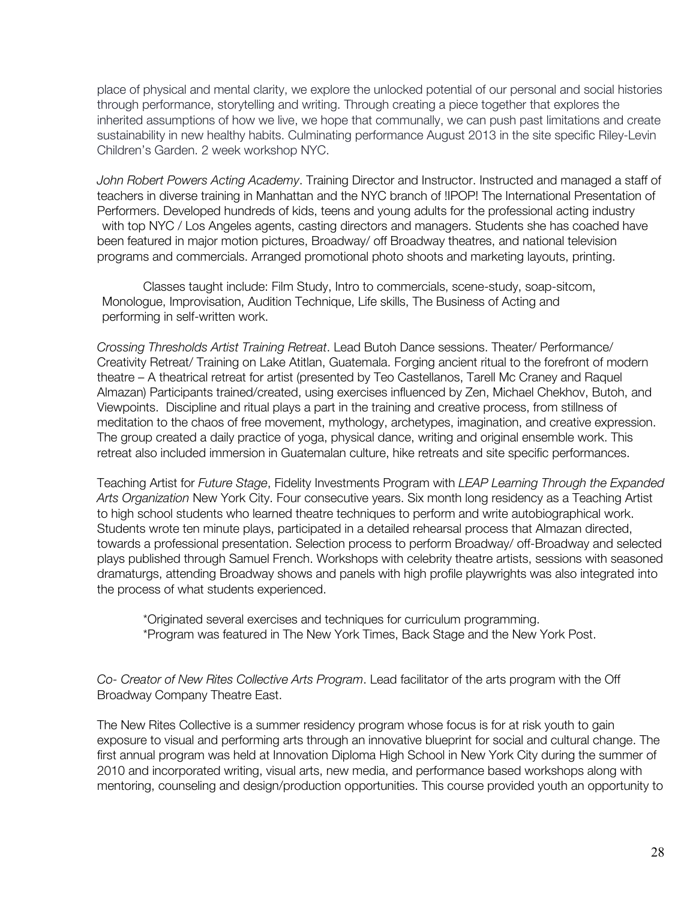place of physical and mental clarity, we explore the unlocked potential of our personal and social histories through performance, storytelling and writing. Through creating a piece together that explores the inherited assumptions of how we live, we hope that communally, we can push past limitations and create sustainability in new healthy habits. Culminating performance August 2013 in the site specific Riley-Levin Children's Garden. 2 week workshop NYC.

*John Robert Powers Acting Academy*. Training Director and Instructor. Instructed and managed a staff of teachers in diverse training in Manhattan and the NYC branch of !IPOP! The International Presentation of Performers. Developed hundreds of kids, teens and young adults for the professional acting industry with top NYC / Los Angeles agents, casting directors and managers. Students she has coached have been featured in major motion pictures, Broadway/ off Broadway theatres, and national television programs and commercials. Arranged promotional photo shoots and marketing layouts, printing.

Classes taught include: Film Study, Intro to commercials, scene-study, soap-sitcom, Monologue, Improvisation, Audition Technique, Life skills, The Business of Acting and performing in self-written work.

*Crossing Thresholds Artist Training Retreat*. Lead Butoh Dance sessions. Theater/ Performance/ Creativity Retreat/ Training on Lake Atitlan, Guatemala. Forging ancient ritual to the forefront of modern theatre – A theatrical retreat for artist (presented by Teo Castellanos, Tarell Mc Craney and Raquel Almazan) Participants trained/created, using exercises influenced by Zen, Michael Chekhov, Butoh, and Viewpoints. Discipline and ritual plays a part in the training and creative process, from stillness of meditation to the chaos of free movement, mythology, archetypes, imagination, and creative expression. The group created a daily practice of yoga, physical dance, writing and original ensemble work. This retreat also included immersion in Guatemalan culture, hike retreats and site specific performances.

Teaching Artist for *Future Stage*, Fidelity Investments Program with *LEAP Learning Through the Expanded Arts Organization* New York City. Four consecutive years. Six month long residency as a Teaching Artist to high school students who learned theatre techniques to perform and write autobiographical work. Students wrote ten minute plays, participated in a detailed rehearsal process that Almazan directed, towards a professional presentation. Selection process to perform Broadway/ off-Broadway and selected plays published through Samuel French. Workshops with celebrity theatre artists, sessions with seasoned dramaturgs, attending Broadway shows and panels with high profile playwrights was also integrated into the process of what students experienced.

\*Originated several exercises and techniques for curriculum programming. \*Program was featured in The New York Times, Back Stage and the New York Post.

*Co- Creator of New Rites Collective Arts Program*. Lead facilitator of the arts program with the Off Broadway Company Theatre East.

The New Rites Collective is a summer residency program whose focus is for at risk youth to gain exposure to visual and performing arts through an innovative blueprint for social and cultural change. The first annual program was held at Innovation Diploma High School in New York City during the summer of 2010 and incorporated writing, visual arts, new media, and performance based workshops along with mentoring, counseling and design/production opportunities. This course provided youth an opportunity to